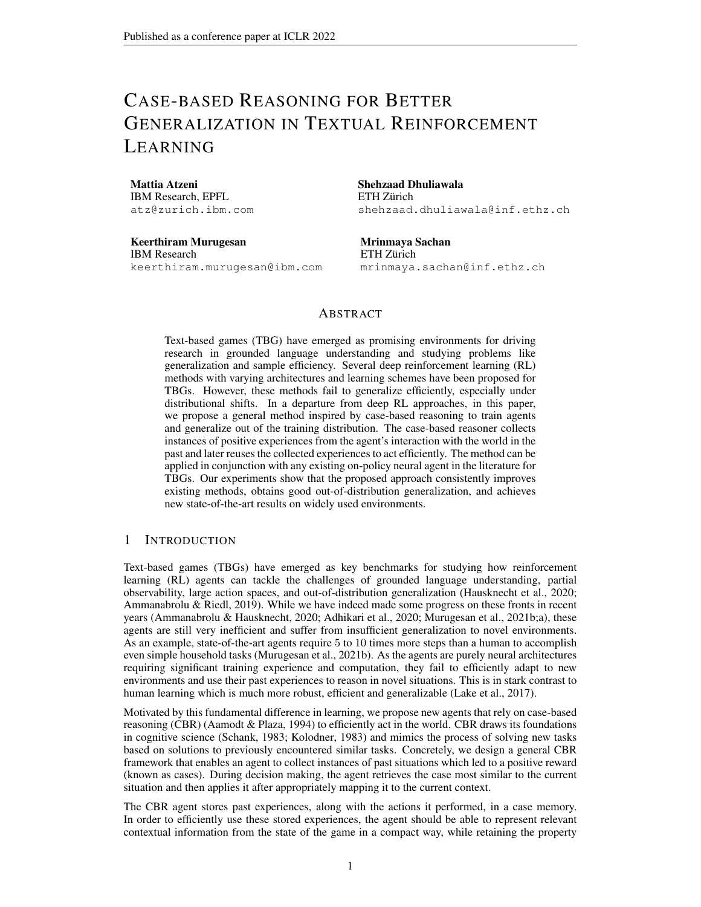# CASE-BASED REASONING FOR BETTER GENERALIZATION IN TEXTUAL REINFORCEMENT LEARNING

Mattia Atzeni IBM Research, EPFL atz@zurich.ibm.com

Keerthiram Murugesan IBM Research keerthiram.murugesan@ibm.com Shehzaad Dhuliawala ETH Zürich shehzaad.dhuliawala@inf.ethz.ch

Mrinmaya Sachan ETH Zürich mrinmaya.sachan@inf.ethz.ch

## ABSTRACT

Text-based games (TBG) have emerged as promising environments for driving research in grounded language understanding and studying problems like generalization and sample efficiency. Several deep reinforcement learning (RL) methods with varying architectures and learning schemes have been proposed for TBGs. However, these methods fail to generalize efficiently, especially under distributional shifts. In a departure from deep RL approaches, in this paper, we propose a general method inspired by case-based reasoning to train agents and generalize out of the training distribution. The case-based reasoner collects instances of positive experiences from the agent's interaction with the world in the past and later reuses the collected experiences to act efficiently. The method can be applied in conjunction with any existing on-policy neural agent in the literature for TBGs. Our experiments show that the proposed approach consistently improves existing methods, obtains good out-of-distribution generalization, and achieves new state-of-the-art results on widely used environments.

## 1 INTRODUCTION

Text-based games (TBGs) have emerged as key benchmarks for studying how reinforcement learning (RL) agents can tackle the challenges of grounded language understanding, partial observability, large action spaces, and out-of-distribution generalization [\(Hausknecht et al., 2020;](#page-10-0) [Ammanabrolu & Riedl, 2019\)](#page-9-0). While we have indeed made some progress on these fronts in recent years [\(Ammanabrolu & Hausknecht, 2020;](#page-9-1) [Adhikari et al., 2020;](#page-9-2) [Murugesan et al., 2021b;](#page-11-0)[a\)](#page-11-1), these agents are still very inefficient and suffer from insufficient generalization to novel environments. As an example, state-of-the-art agents require 5 to 10 times more steps than a human to accomplish even simple household tasks [\(Murugesan et al., 2021b\)](#page-11-0). As the agents are purely neural architectures requiring significant training experience and computation, they fail to efficiently adapt to new environments and use their past experiences to reason in novel situations. This is in stark contrast to human learning which is much more robust, efficient and generalizable [\(Lake et al., 2017\)](#page-11-2).

Motivated by this fundamental difference in learning, we propose new agents that rely on case-based reasoning (CBR) [\(Aamodt & Plaza, 1994\)](#page-9-3) to efficiently act in the world. CBR draws its foundations in cognitive science [\(Schank, 1983;](#page-11-3) [Kolodner, 1983\)](#page-11-4) and mimics the process of solving new tasks based on solutions to previously encountered similar tasks. Concretely, we design a general CBR framework that enables an agent to collect instances of past situations which led to a positive reward (known as cases). During decision making, the agent retrieves the case most similar to the current situation and then applies it after appropriately mapping it to the current context.

The CBR agent stores past experiences, along with the actions it performed, in a case memory. In order to efficiently use these stored experiences, the agent should be able to represent relevant contextual information from the state of the game in a compact way, while retaining the property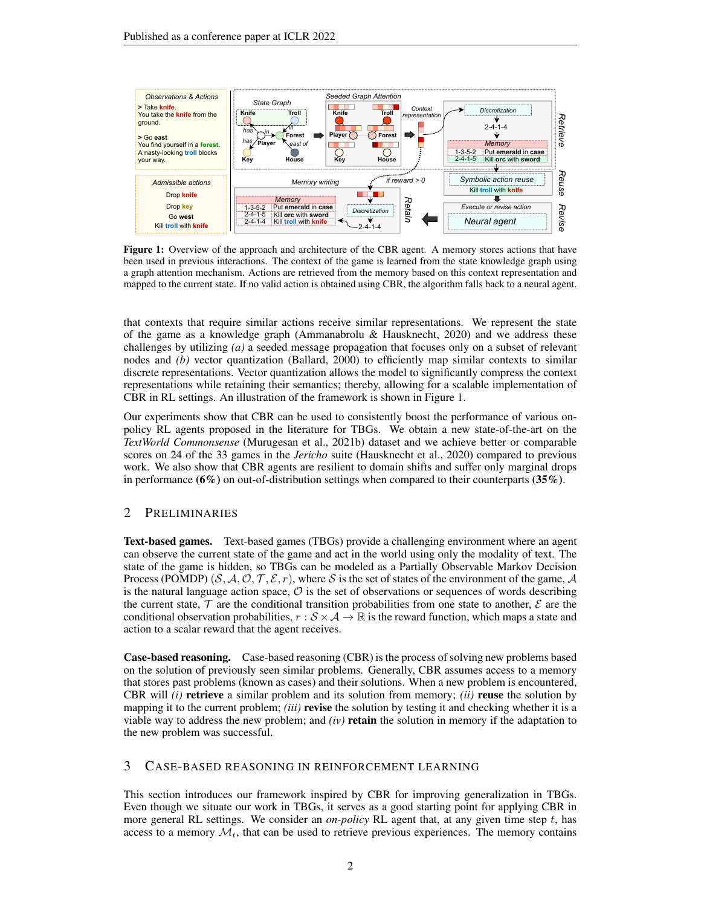<span id="page-1-0"></span>

Figure 1: Overview of the approach and architecture of the CBR agent. A memory stores actions that have been used in previous interactions. The context of the game is learned from the state knowledge graph using a graph attention mechanism. Actions are retrieved from the memory based on this context representation and mapped to the current state. If no valid action is obtained using CBR, the algorithm falls back to a neural agent.

that contexts that require similar actions receive similar representations. We represent the state of the game as a knowledge graph [\(Ammanabrolu & Hausknecht, 2020\)](#page-9-1) and we address these challenges by utilizing *(a)* a seeded message propagation that focuses only on a subset of relevant nodes and *(b)* vector quantization [\(Ballard, 2000\)](#page-9-4) to efficiently map similar contexts to similar discrete representations. Vector quantization allows the model to significantly compress the context representations while retaining their semantics; thereby, allowing for a scalable implementation of CBR in RL settings. An illustration of the framework is shown in Figure [1.](#page-1-0)

Our experiments show that CBR can be used to consistently boost the performance of various onpolicy RL agents proposed in the literature for TBGs. We obtain a new state-of-the-art on the *TextWorld Commonsense* [\(Murugesan et al., 2021b\)](#page-11-0) dataset and we achieve better or comparable scores on 24 of the 33 games in the *Jericho* suite [\(Hausknecht et al., 2020\)](#page-10-0) compared to previous work. We also show that CBR agents are resilient to domain shifts and suffer only marginal drops in performance  $(6\%)$  on out-of-distribution settings when compared to their counterparts  $(35\%)$ .

# <span id="page-1-1"></span>2 PRELIMINARIES

Text-based games. Text-based games (TBGs) provide a challenging environment where an agent can observe the current state of the game and act in the world using only the modality of text. The state of the game is hidden, so TBGs can be modeled as a Partially Observable Markov Decision Process (POMDP)  $(S, A, O, T, \mathcal{E}, r)$ , where S is the set of states of the environment of the game, A is the natural language action space,  $\mathcal O$  is the set of observations or sequences of words describing the current state,  $\mathcal T$  are the conditional transition probabilities from one state to another,  $\mathcal E$  are the conditional observation probabilities,  $r : \mathcal{S} \times \mathcal{A} \to \mathbb{R}$  is the reward function, which maps a state and action to a scalar reward that the agent receives.

Case-based reasoning. Case-based reasoning (CBR) is the process of solving new problems based on the solution of previously seen similar problems. Generally, CBR assumes access to a memory that stores past problems (known as cases) and their solutions. When a new problem is encountered, CBR will *(i)* retrieve a similar problem and its solution from memory; *(ii)* reuse the solution by mapping it to the current problem; *(iii)* revise the solution by testing it and checking whether it is a viable way to address the new problem; and *(iv)* retain the solution in memory if the adaptation to the new problem was successful.

## <span id="page-1-2"></span>3 CASE-BASED REASONING IN REINFORCEMENT LEARNING

This section introduces our framework inspired by CBR for improving generalization in TBGs. Even though we situate our work in TBGs, it serves as a good starting point for applying CBR in more general RL settings. We consider an *on-policy* RL agent that, at any given time step t, has access to a memory  $\mathcal{M}_t$ , that can be used to retrieve previous experiences. The memory contains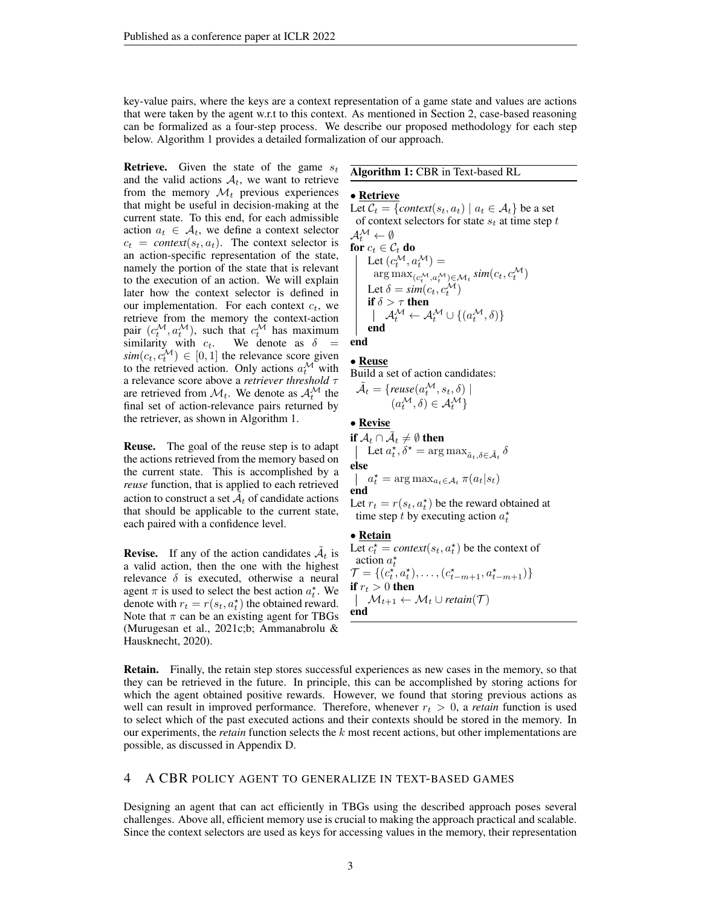key-value pairs, where the keys are a context representation of a game state and values are actions that were taken by the agent w.r.t to this context. As mentioned in Section [2,](#page-1-1) case-based reasoning can be formalized as a four-step process. We describe our proposed methodology for each step below. Algorithm [1](#page-2-0) provides a detailed formalization of our approach.

**Retrieve.** Given the state of the game  $s_t$ and the valid actions  $A_t$ , we want to retrieve from the memory  $\mathcal{M}_t$  previous experiences that might be useful in decision-making at the current state. To this end, for each admissible action  $a_t \in \mathcal{A}_t$ , we define a context selector  $c_t = \text{context}(s_t, a_t)$ . The context selector is an action-specific representation of the state, namely the portion of the state that is relevant to the execution of an action. We will explain later how the context selector is defined in our implementation. For each context  $c_t$ , we retrieve from the memory the context-action pair  $(c_t^{\mathcal{M}}, a_t^{\mathcal{M}})$ , such that  $c_t^{\mathcal{M}}$  has maximum similarity with  $c_t$ . We denote as  $\delta =$  $\textit{sim}(c_t, c_t^{\mathcal{M}}) \in [0, 1]$  the relevance score given to the retrieved action. Only actions  $a_t^{\mathcal{M}}$  with a relevance score above a *retriever threshold* τ are retrieved from  $\mathcal{M}_t$ . We denote as  $\mathcal{A}_t^{\mathcal{M}}$  the final set of action-relevance pairs returned by the retriever, as shown in Algorithm [1.](#page-2-0)

Reuse. The goal of the reuse step is to adapt the actions retrieved from the memory based on the current state. This is accomplished by a *reuse* function, that is applied to each retrieved action to construct a set  $\tilde{A}_t$  of candidate actions that should be applicable to the current state, each paired with a confidence level.

**Revise.** If any of the action candidates  $\tilde{A}_t$  is a valid action, then the one with the highest relevance  $\delta$  is executed, otherwise a neural agent  $\pi$  is used to select the best action  $a_t^*$ . We denote with  $r_t = r(s_t, a_t^{\star})$  the obtained reward. Note that  $\pi$  can be an existing agent for TBGs [\(Murugesan et al., 2021c;](#page-11-5)[b;](#page-11-0) [Ammanabrolu &](#page-9-1) [Hausknecht, 2020\)](#page-9-1).

#### Algorithm 1: CBR in Text-based RL

#### <span id="page-2-0"></span>• Retrieve

Let  $C_t = \{context(s_t, a_t) \mid a_t \in A_t\}$  be a set of context selectors for state  $s_t$  at time step  $t$  $A^{\mathcal{M}} \leftarrow \emptyset$ for  $c_t \in \mathcal{C}_t$  do Let  $(c_t^{\mathcal{M}}, a_t^{\mathcal{M}}) =$  $\arg\max_{(c^{\mathcal{M}}_t, a^{\mathcal{M}}_t) \in \mathcal{M}_t} sim(c_t, c^{\mathcal{M}}_t)$ Let  $\delta = sim(c_t, c_t^{\mathcal{M}})$ if  $\delta > \tau$  then  $\mathcal{A}^{\mathcal{M}}_{t} \leftarrow \mathcal{A}^{\mathcal{M}}_{t} \cup \{(a^{\mathcal{M}}_{t}, \delta)\}$ end

end

• Reuse Build a set of action candidates:

$$
\tilde{\mathcal{A}}_t = \{ \mathit{reuse}(a_t^{\mathcal{M}}, s_t, \delta) \mid \\ (a_t^{\mathcal{M}}, \delta) \in \mathcal{A}_t^{\mathcal{M}} \}
$$

• Revise

if  $\mathcal{A}_t \cap \tilde{\mathcal{A}}_t \neq \emptyset$  then Let  $a_t^*, \delta^* = \arg \max_{\tilde{a}_t, \delta \in \tilde{\mathcal{A}}_t} \delta$ else  $a_t^* = \arg \max_{a_t \in \mathcal{A}_t} \pi(a_t|s_t)$ end

Let  $r_t = r(s_t, a_t^{\star})$  be the reward obtained at time step t by executing action  $a_t^*$ 

#### • Retain

Let  $c_t^* = \text{context}(s_t, a_t^*)$  be the context of action  $a_t^*$  $\mathcal{T} = \{ (c_t^{\star}, a_t^{\star}), \ldots, (c_{t-m+1}^{\star}, a_{t-m+1}^{\star}) \}$ if  $r_t > 0$  then  $\mathcal{M}_{t+1} \leftarrow \mathcal{M}_t \cup \text{retain}(\mathcal{T})$ end

Retain. Finally, the retain step stores successful experiences as new cases in the memory, so that they can be retrieved in the future. In principle, this can be accomplished by storing actions for which the agent obtained positive rewards. However, we found that storing previous actions as well can result in improved performance. Therefore, whenever  $r_t > 0$ , a *retain* function is used to select which of the past executed actions and their contexts should be stored in the memory. In our experiments, the *retain* function selects the k most recent actions, but other implementations are possible, as discussed in Appendix [D.](#page-14-0)

## <span id="page-2-1"></span>4 A CBR POLICY AGENT TO GENERALIZE IN TEXT-BASED GAMES

Designing an agent that can act efficiently in TBGs using the described approach poses several challenges. Above all, efficient memory use is crucial to making the approach practical and scalable. Since the context selectors are used as keys for accessing values in the memory, their representation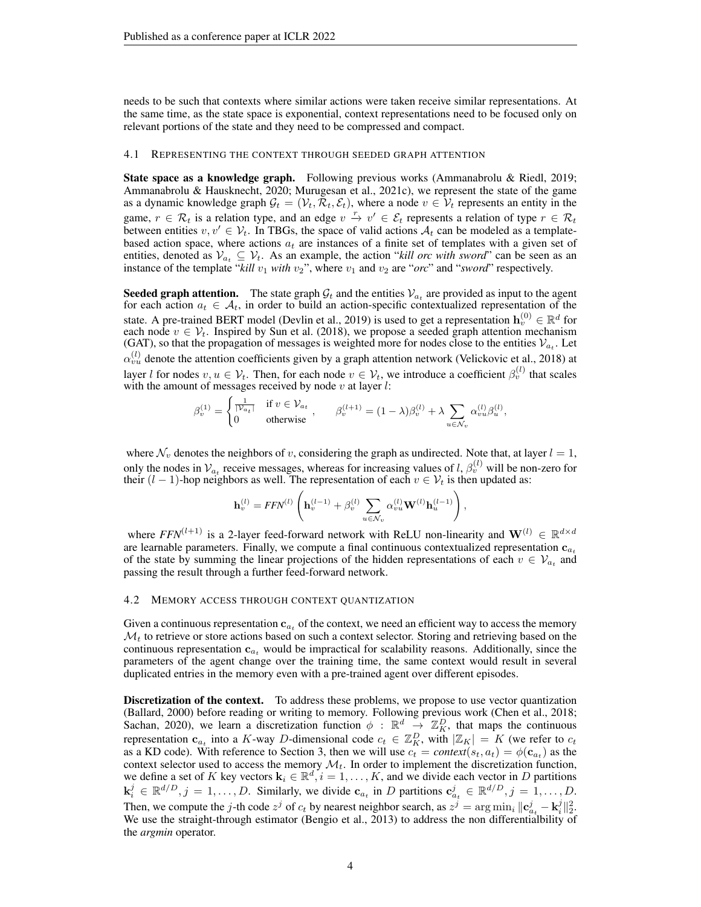needs to be such that contexts where similar actions were taken receive similar representations. At the same time, as the state space is exponential, context representations need to be focused only on relevant portions of the state and they need to be compressed and compact.

#### <span id="page-3-0"></span>4.1 REPRESENTING THE CONTEXT THROUGH SEEDED GRAPH ATTENTION

State space as a knowledge graph. Following previous works [\(Ammanabrolu & Riedl, 2019;](#page-9-0) [Ammanabrolu & Hausknecht, 2020;](#page-9-1) [Murugesan et al., 2021c\)](#page-11-5), we represent the state of the game as a dynamic knowledge graph  $G_t = (\mathcal{V}_t, \mathcal{R}_t, \mathcal{E}_t)$ , where a node  $v \in \mathcal{V}_t$  represents an entity in the game,  $r \in \mathcal{R}_t$  is a relation type, and an edge  $v \stackrel{r}{\to} v' \in \mathcal{E}_t$  represents a relation of type  $r \in \mathcal{R}_t$ between entities  $v, v' \in V_t$ . In TBGs, the space of valid actions  $A_t$  can be modeled as a templatebased action space, where actions  $a_t$  are instances of a finite set of templates with a given set of entities, denoted as  $V_{a_t} \subseteq V_t$ . As an example, the action "*kill orc with sword*" can be seen as an instance of the template " $kill v_1$  *with*  $v_2$ ", where  $v_1$  and  $v_2$  are "*orc*" and "*sword*" respectively.

**Seeded graph attention.** The state graph  $G_t$  and the entities  $V_{a_t}$  are provided as input to the agent for each action  $a_t \in A_t$ , in order to build an action-specific contextualized representation of the state. A pre-trained BERT model [\(Devlin et al., 2019\)](#page-10-1) is used to get a representation  $\mathbf{h}_v^{(0)} \in \mathbb{R}^d$  for each node  $v \in V_t$ . Inspired by [Sun et al.](#page-11-6) [\(2018\)](#page-11-6), we propose a seeded graph attention mechanism (GAT), so that the propagation of messages is weighted more for nodes close to the entities  $V_{a_t}$ . Let  $\alpha_{vu}^{(l)}$  denote the attention coefficients given by a graph attention network [\(Velickovic et al., 2018\)](#page-12-0) at layer l for nodes  $v, u \in V_t$ . Then, for each node  $v \in V_t$ , we introduce a coefficient  $\beta_v^{(l)}$  that scales with the amount of messages received by node  $v$  at layer  $l$ :

$$
\beta_v^{(1)} = \begin{cases} \frac{1}{|\mathcal{V}_{a_t}|} & \text{if } v \in \mathcal{V}_{a_t} \\ 0 & \text{otherwise} \end{cases}, \qquad \beta_v^{(l+1)} = (1 - \lambda)\beta_v^{(l)} + \lambda \sum_{u \in \mathcal{N}_v} \alpha_{vu}^{(l)} \beta_u^{(l)},
$$

where  $\mathcal{N}_v$  denotes the neighbors of v, considering the graph as undirected. Note that, at layer  $l = 1$ , only the nodes in  $\mathcal{V}_{a_t}$  receive messages, whereas for increasing values of l,  $\beta_v^{(l)}$  will be non-zero for their  $(l-1)$ -hop neighbors as well. The representation of each  $v \in V_t$  is then updated as:

$$
\mathbf{h}_{v}^{(l)} = FFN^{(l)}\left(\mathbf{h}_{v}^{(l-1)} + \beta_{v}^{(l)}\sum_{u \in \mathcal{N}_{v}}\alpha_{vu}^{(l)}\mathbf{W}^{(l)}\mathbf{h}_{u}^{(l-1)}\right),\,
$$

where  $FFN^{(l+1)}$  is a 2-layer feed-forward network with ReLU non-linearity and  $\mathbf{W}^{(l)} \in \mathbb{R}^{d \times d}$ are learnable parameters. Finally, we compute a final continuous contextualized representation  $c_{a_t}$ of the state by summing the linear projections of the hidden representations of each  $v \in V_{a_t}$  and passing the result through a further feed-forward network.

#### <span id="page-3-1"></span>4.2 MEMORY ACCESS THROUGH CONTEXT QUANTIZATION

Given a continuous representation  $c_{a_t}$  of the context, we need an efficient way to access the memory  $\mathcal{M}_t$  to retrieve or store actions based on such a context selector. Storing and retrieving based on the continuous representation  $c_{a_t}$  would be impractical for scalability reasons. Additionally, since the parameters of the agent change over the training time, the same context would result in several duplicated entries in the memory even with a pre-trained agent over different episodes.

**Discretization of the context.** To address these problems, we propose to use vector quantization [\(Ballard, 2000\)](#page-9-4) before reading or writing to memory. Following previous work [\(Chen et al., 2018;](#page-10-2) [Sachan, 2020\)](#page-11-7), we learn a discretization function  $\phi : \mathbb{R}^d \to \mathbb{Z}_K^D$ , that maps the continuous representation  $\mathbf{c}_{a_t}$  into a K-way D-dimensional code  $c_t \in \mathbb{Z}_K^D$ , with  $|\mathbb{Z}_K| = K$  (we refer to  $c_t$ as a KD code). With reference to Section [3,](#page-1-2) then we will use  $c_t = \text{context}(s_t, a_t) = \phi(\mathbf{c}_{a_t})$  as the context selector used to access the memory  $\mathcal{M}_t$ . In order to implement the discretization function, we define a set of K key vectors  $\mathbf{k}_i \in \mathbb{R}^d$ ,  $i = 1, ..., K$ , and we divide each vector in D partitions  $\mathbf{k}_i^j \in \mathbb{R}^{d/D}, j = 1, \dots, D$ . Similarly, we divide  $\mathbf{c}_{a_t}$  in D partitions  $\mathbf{c}_{a_t}^j \in \mathbb{R}^{d/D}, j = 1, \dots, D$ . Then, we compute the *j*-th code  $z^j$  of  $c_t$  by nearest neighbor search, as  $z^j = \arg \min_i ||\mathbf{c}_{a_t}^j - \mathbf{k}_i^j||_2^2$ . We use the straight-through estimator [\(Bengio et al., 2013\)](#page-9-5) to address the non differentialbility of the *argmin* operator.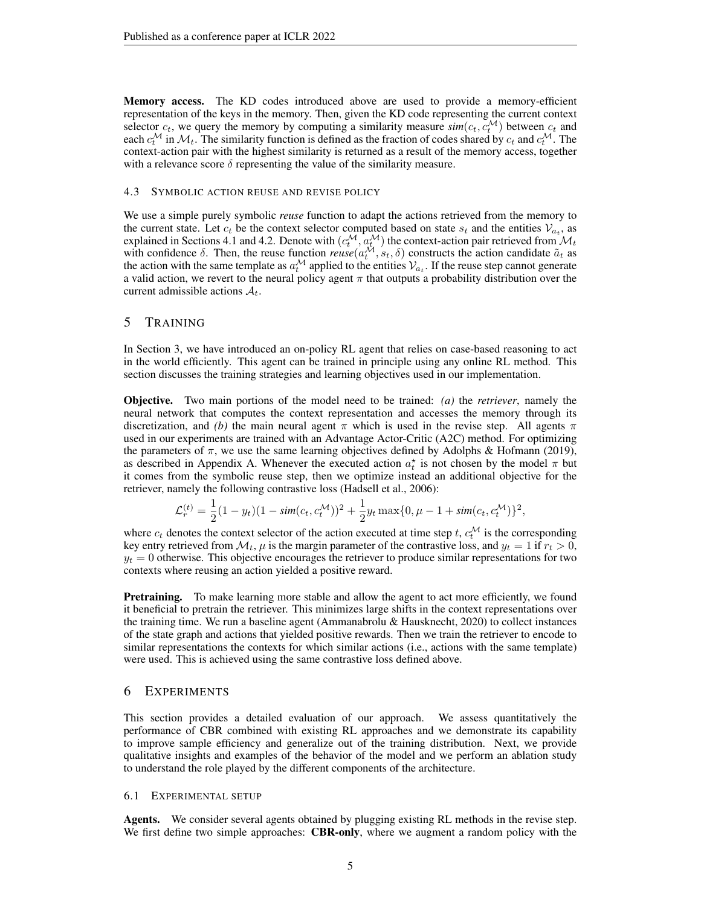Memory access. The KD codes introduced above are used to provide a memory-efficient representation of the keys in the memory. Then, given the KD code representing the current context selector  $c_t$ , we query the memory by computing a similarity measure  $\sin(c_t, c_t^{\mathcal{M}})$  between  $c_t$  and each  $c_t^{\mathcal{M}}$  in  $\mathcal{M}_t$ . The similarity function is defined as the fraction of codes shared by  $c_t$  and  $c_t^{\mathcal{M}}$ . The context-action pair with the highest similarity is returned as a result of the memory access, together with a relevance score  $\delta$  representing the value of the similarity measure.

#### 4.3 SYMBOLIC ACTION REUSE AND REVISE POLICY

We use a simple purely symbolic *reuse* function to adapt the actions retrieved from the memory to the current state. Let  $c_t$  be the context selector computed based on state  $s_t$  and the entities  $V_{a_t}$ , as explained in Sections [4.1](#page-3-0) and [4.2.](#page-3-1) Denote with  $(c_t^{\mathcal{M}}, a_t^{\mathcal{M}})$  the context-action pair retrieved from  $\mathcal{M}_t$ with confidence  $\delta$ . Then, the reuse function  $reuse(a_t^{\mathcal{M}}, s_t, \delta)$  constructs the action candidate  $\tilde{a}_t$  as the action with the same template as  $a_t^{\mathcal{M}}$  applied to the entities  $\mathcal{V}_{a_t}$ . If the reuse step cannot generate a valid action, we revert to the neural policy agent  $\pi$  that outputs a probability distribution over the current admissible actions  $A_t$ .

## <span id="page-4-0"></span>5 TRAINING

In Section [3,](#page-1-2) we have introduced an on-policy RL agent that relies on case-based reasoning to act in the world efficiently. This agent can be trained in principle using any online RL method. This section discusses the training strategies and learning objectives used in our implementation.

Objective. Two main portions of the model need to be trained: *(a)* the *retriever*, namely the neural network that computes the context representation and accesses the memory through its discretization, and *(b)* the main neural agent  $\pi$  which is used in the revise step. All agents  $\pi$ used in our experiments are trained with an Advantage Actor-Critic (A2C) method. For optimizing the parameters of  $\pi$ , we use the same learning objectives defined by [Adolphs & Hofmann](#page-9-6) [\(2019\)](#page-9-6), as described in Appendix [A.](#page-13-0) Whenever the executed action  $a_t^*$  is not chosen by the model  $\pi$  but it comes from the symbolic reuse step, then we optimize instead an additional objective for the retriever, namely the following contrastive loss [\(Hadsell et al., 2006\)](#page-10-3):

$$
\mathcal{L}_r^{(t)} = \frac{1}{2}(1 - y_t)(1 - \text{sim}(c_t, c_t^{\mathcal{M}}))^2 + \frac{1}{2}y_t \max\{0, \mu - 1 + \text{sim}(c_t, c_t^{\mathcal{M}})\}^2,
$$

where  $c_t$  denotes the context selector of the action executed at time step t,  $c_t^{\mathcal{M}}$  is the corresponding key entry retrieved from  $\mathcal{M}_t$ ,  $\mu$  is the margin parameter of the contrastive loss, and  $y_t = 1$  if  $r_t > 0$ ,  $y_t = 0$  otherwise. This objective encourages the retriever to produce similar representations for two contexts where reusing an action yielded a positive reward.

**Pretraining.** To make learning more stable and allow the agent to act more efficiently, we found it beneficial to pretrain the retriever. This minimizes large shifts in the context representations over the training time. We run a baseline agent (Ammanabrolu  $\&$  Hausknecht, 2020) to collect instances of the state graph and actions that yielded positive rewards. Then we train the retriever to encode to similar representations the contexts for which similar actions (i.e., actions with the same template) were used. This is achieved using the same contrastive loss defined above.

#### <span id="page-4-2"></span>6 EXPERIMENTS

This section provides a detailed evaluation of our approach. We assess quantitatively the performance of CBR combined with existing RL approaches and we demonstrate its capability to improve sample efficiency and generalize out of the training distribution. Next, we provide qualitative insights and examples of the behavior of the model and we perform an ablation study to understand the role played by the different components of the architecture.

## <span id="page-4-1"></span>6.1 EXPERIMENTAL SETUP

Agents. We consider several agents obtained by plugging existing RL methods in the revise step. We first define two simple approaches: **CBR-only**, where we augment a random policy with the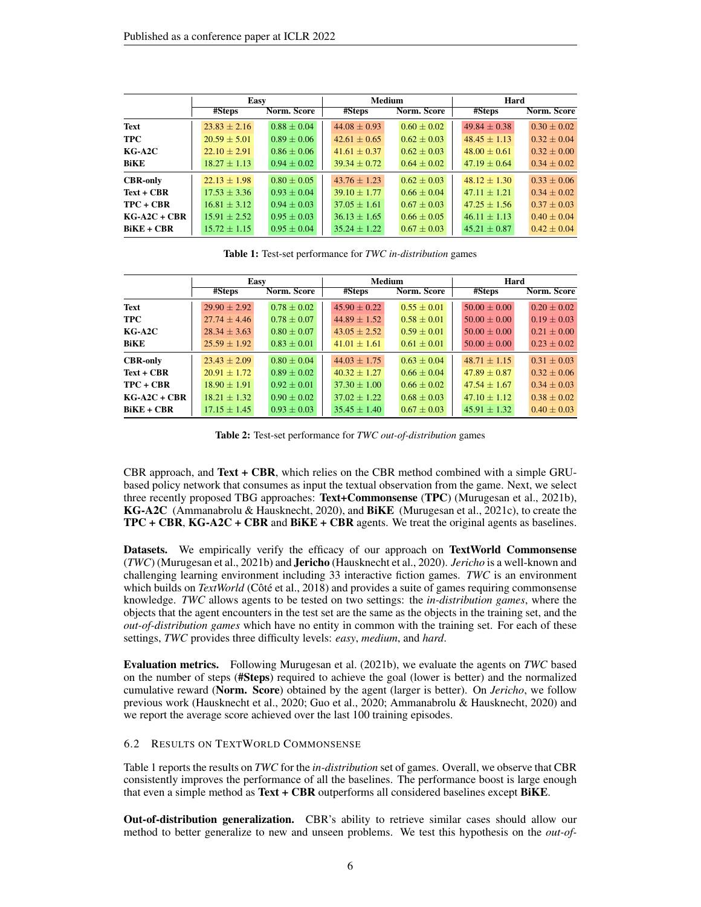<span id="page-5-0"></span>

|                 | Easy             |                 | <b>Medium</b>    |                 | Hard           |               |  |
|-----------------|------------------|-----------------|------------------|-----------------|----------------|---------------|--|
|                 | #Steps           | Norm. Score     | #Steps           | Norm. Score     | #Steps         | Norm. Score   |  |
| Text            | $23.83 + 2.16$   | $0.88 + 0.04$   | $44.08 + 0.93$   | $0.60 + 0.02$   | $49.84 + 0.38$ | $0.30 + 0.02$ |  |
| <b>TPC</b>      | $20.59 + 5.01$   | $0.89 + 0.06$   | $42.61 + 0.65$   | $0.62 + 0.03$   | $48.45 + 1.13$ | $0.32 + 0.04$ |  |
| $KG-A2C$        | $22.10 + 2.91$   | $0.86 + 0.06$   | $41.61 + 0.37$   | $0.62 + 0.03$   | $48.00 + 0.61$ | $0.32 + 0.00$ |  |
| <b>BiKE</b>     | $18.27 + 1.13$   | $0.94 \pm 0.02$ | $39.34 + 0.72$   | $0.64 + 0.02$   | $47.19 + 0.64$ | $0.34 + 0.02$ |  |
| <b>CBR-only</b> | $22.13 \pm 1.98$ | $0.80 + 0.05$   | $43.76 + 1.23$   | $0.62 + 0.03$   | $48.12 + 1.30$ | $0.33 + 0.06$ |  |
| $Text + CBR$    | $17.53 + 3.36$   | $0.93 + 0.04$   | $39.10 + 1.77$   | $0.66 + 0.04$   | $47.11 + 1.21$ | $0.34 + 0.02$ |  |
| $TPC + CBR$     | $16.81 + 3.12$   | $0.94 + 0.03$   | $37.05 + 1.61$   | $0.67 + 0.03$   | $47.25 + 1.56$ | $0.37 + 0.03$ |  |
| $KG-A2C + CBR$  | $15.91 + 2.52$   | $0.95 + 0.03$   | $36.13 \pm 1.65$ | $0.66 + 0.05$   | $46.11 + 1.13$ | $0.40 + 0.04$ |  |
| $BiKE + CBR$    | $15.72 \pm 1.15$ | $0.95 \pm 0.04$ | $35.24 + 1.22$   | $0.67 \pm 0.03$ | $45.21 + 0.87$ | $0.42 + 0.04$ |  |

Table 1: Test-set performance for *TWC in-distribution* games

<span id="page-5-1"></span>

|                 | Easy             |                 | <b>Medium</b>    |                 | Hard             |                 |  |
|-----------------|------------------|-----------------|------------------|-----------------|------------------|-----------------|--|
|                 | #Steps           | Norm. Score     | #Steps           | Norm. Score     | #Steps           | Norm. Score     |  |
| Text            | $29.90 \pm 2.92$ | $0.78 \pm 0.02$ | $45.90 \pm 0.22$ | $0.55 + 0.01$   | $50.00 \pm 0.00$ | $0.20 + 0.02$   |  |
| <b>TPC</b>      | $27.74 \pm 4.46$ | $0.78 + 0.07$   | $44.89 + 1.52$   | $0.58 + 0.01$   | $50.00 + 0.00$   | $0.19 \pm 0.03$ |  |
| $KG-A2C$        | $28.34 + 3.63$   | $0.80 + 0.07$   | $43.05 \pm 2.52$ | $0.59 + 0.01$   | $50.00 + 0.00$   | $0.21 + 0.00$   |  |
| BiKE            | $25.59 \pm 1.92$ | $0.83 \pm 0.01$ | $41.01 \pm 1.61$ | $0.61 \pm 0.01$ | $50.00 \pm 0.00$ | $0.23 \pm 0.02$ |  |
| <b>CBR-only</b> | $23.43 \pm 2.09$ | $0.80 + 0.04$   | $44.03 + 1.75$   | $0.63 + 0.04$   | $48.71 + 1.15$   | $0.31 \pm 0.03$ |  |
| $Text + CBR$    | $20.91 + 1.72$   | $0.89 + 0.02$   | $40.32 + 1.27$   | $0.66 + 0.04$   | $47.89 + 0.87$   | $0.32 + 0.06$   |  |
| $TPC + CBR$     | $18.90 + 1.91$   | $0.92 + 0.01$   | $37.30 + 1.00$   | $0.66 \pm 0.02$ | $47.54 + 1.67$   | $0.34 + 0.03$   |  |
| $KG-A2C + CBR$  | $18.21 + 1.32$   | $0.90 + 0.02$   | $37.02 + 1.22$   | $0.68 + 0.03$   | $47.10 + 1.12$   | $0.38 + 0.02$   |  |
| $BiKE + CBR$    | $17.15 \pm 1.45$ | $0.93 \pm 0.03$ | $35.45 + 1.40$   | $0.67 + 0.03$   | $45.91 + 1.32$   | $0.40 \pm 0.03$ |  |

Table 2: Test-set performance for *TWC out-of-distribution* games

CBR approach, and Text  $+$  CBR, which relies on the CBR method combined with a simple GRUbased policy network that consumes as input the textual observation from the game. Next, we select three recently proposed TBG approaches: Text+Commonsense (TPC) [\(Murugesan et al., 2021b\)](#page-11-0), KG-A2C [\(Ammanabrolu & Hausknecht, 2020\)](#page-9-1), and BiKE [\(Murugesan et al., 2021c\)](#page-11-5), to create the TPC + CBR, KG-A2C + CBR and BiKE + CBR agents. We treat the original agents as baselines.

Datasets. We empirically verify the efficacy of our approach on TextWorld Commonsense (*TWC*) [\(Murugesan et al., 2021b\)](#page-11-0) and Jericho [\(Hausknecht et al., 2020\)](#page-10-0). *Jericho* is a well-known and challenging learning environment including 33 interactive fiction games. *TWC* is an environment which builds on *TextWorld* [\(Côté et al., 2018\)](#page-10-4) and provides a suite of games requiring commonsense knowledge. *TWC* allows agents to be tested on two settings: the *in-distribution games*, where the objects that the agent encounters in the test set are the same as the objects in the training set, and the *out-of-distribution games* which have no entity in common with the training set. For each of these settings, *TWC* provides three difficulty levels: *easy*, *medium*, and *hard*.

Evaluation metrics. Following [Murugesan et al.](#page-11-0) [\(2021b\)](#page-11-0), we evaluate the agents on *TWC* based on the number of steps (#Steps) required to achieve the goal (lower is better) and the normalized cumulative reward (Norm. Score) obtained by the agent (larger is better). On *Jericho*, we follow previous work [\(Hausknecht et al., 2020;](#page-10-0) [Guo et al., 2020;](#page-10-5) [Ammanabrolu & Hausknecht, 2020\)](#page-9-1) and we report the average score achieved over the last 100 training episodes.

#### <span id="page-5-2"></span>6.2 RESULTS ON TEXTWORLD COMMONSENSE

Table [1](#page-5-0) reports the results on *TWC* for the *in-distribution* set of games. Overall, we observe that CBR consistently improves the performance of all the baselines. The performance boost is large enough that even a simple method as Text + CBR outperforms all considered baselines except BiKE.

Out-of-distribution generalization. CBR's ability to retrieve similar cases should allow our method to better generalize to new and unseen problems. We test this hypothesis on the *out-of-*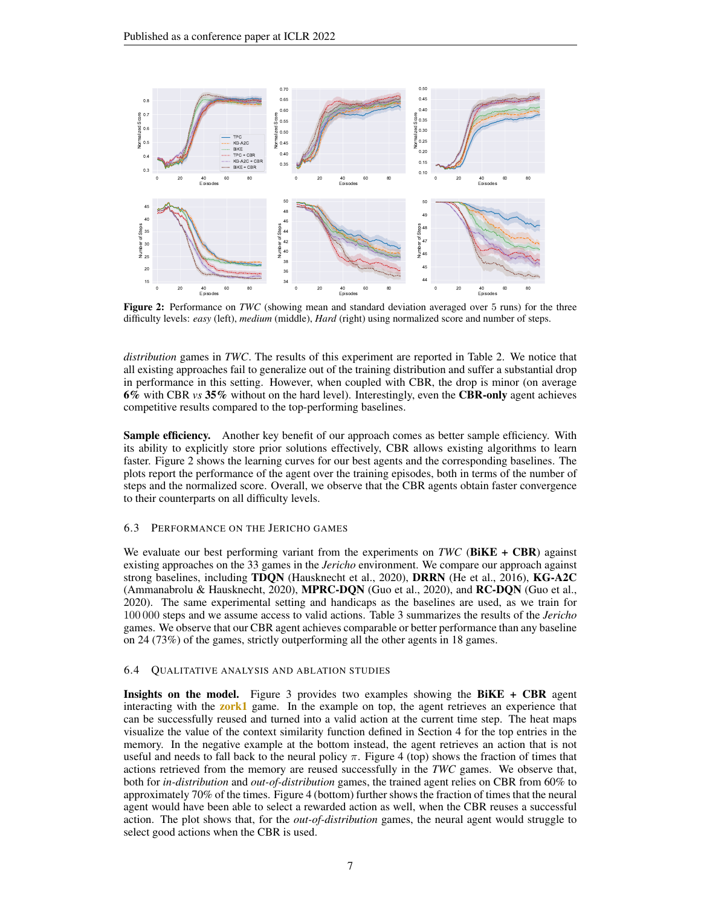<span id="page-6-0"></span>

Figure 2: Performance on *TWC* (showing mean and standard deviation averaged over 5 runs) for the three difficulty levels: *easy* (left), *medium* (middle), *Hard* (right) using normalized score and number of steps.

*distribution* games in *TWC*. The results of this experiment are reported in Table [2.](#page-5-1) We notice that all existing approaches fail to generalize out of the training distribution and suffer a substantial drop in performance in this setting. However, when coupled with CBR, the drop is minor (on average 6% with CBR *vs* 35% without on the hard level). Interestingly, even the CBR-only agent achieves competitive results compared to the top-performing baselines.

Sample efficiency. Another key benefit of our approach comes as better sample efficiency. With its ability to explicitly store prior solutions effectively, CBR allows existing algorithms to learn faster. Figure [2](#page-6-0) shows the learning curves for our best agents and the corresponding baselines. The plots report the performance of the agent over the training episodes, both in terms of the number of steps and the normalized score. Overall, we observe that the CBR agents obtain faster convergence to their counterparts on all difficulty levels.

#### <span id="page-6-1"></span>6.3 PERFORMANCE ON THE JERICHO GAMES

We evaluate our best performing variant from the experiments on *TWC* (BiKE + CBR) against existing approaches on the 33 games in the *Jericho* environment. We compare our approach against strong baselines, including TDQN [\(Hausknecht et al., 2020\)](#page-10-0), DRRN [\(He et al., 2016\)](#page-10-6), KG-A2C [\(Ammanabrolu & Hausknecht, 2020\)](#page-9-1), MPRC-DQN [\(Guo et al., 2020\)](#page-10-5), and RC-DQN [\(Guo et al.,](#page-10-5) [2020\)](#page-10-5). The same experimental setting and handicaps as the baselines are used, as we train for 100 000 steps and we assume access to valid actions. Table [3](#page-7-0) summarizes the results of the *Jericho* games. We observe that our CBR agent achieves comparable or better performance than any baseline on 24 (73%) of the games, strictly outperforming all the other agents in 18 games.

#### <span id="page-6-2"></span>6.4 QUALITATIVE ANALYSIS AND ABLATION STUDIES

**Insights on the model.** Figure [3](#page-7-1) provides two examples showing the  $BiKE + CBR$  agent interacting with the **zork1** game. In the example on top, the agent retrieves an experience that can be successfully reused and turned into a valid action at the current time step. The heat maps visualize the value of the context similarity function defined in Section [4](#page-2-1) for the top entries in the memory. In the negative example at the bottom instead, the agent retrieves an action that is not useful and needs to fall back to the neural policy  $\pi$ . Figure [4](#page-7-1) (top) shows the fraction of times that actions retrieved from the memory are reused successfully in the *TWC* games. We observe that, both for *in-distribution* and *out-of-distribution* games, the trained agent relies on CBR from 60% to approximately 70% of the times. Figure [4](#page-7-1) (bottom) further shows the fraction of times that the neural agent would have been able to select a rewarded action as well, when the CBR reuses a successful action. The plot shows that, for the *out-of-distribution* games, the neural agent would struggle to select good actions when the CBR is used.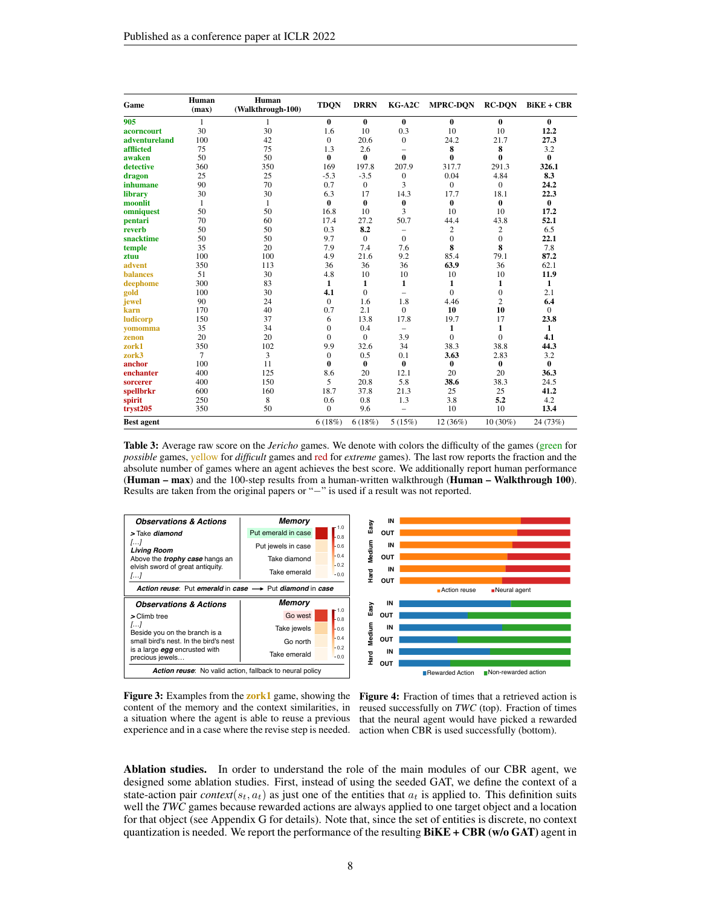<span id="page-7-0"></span>

| Game              | Human<br>(max) | Human<br>(Walkthrough-100) | <b>TDQN</b>  | <b>DRRN</b>      | KG-A2C                   | <b>MPRC-DON</b> | <b>RC-DON</b>  | $BiKE + CBR$ |
|-------------------|----------------|----------------------------|--------------|------------------|--------------------------|-----------------|----------------|--------------|
| 905               | 1              | 1                          | $\bf{0}$     | $\mathbf{0}$     | $\bf{0}$                 | $\bf{0}$        | $\mathbf{0}$   | $\bf{0}$     |
| acorncourt        | 30             | 30                         | 1.6          | 10               | 0.3                      | 10              | 10             | 12.2         |
| adventureland     | 100            | 42                         | $\mathbf{0}$ | 20.6             | $\mathbf{0}$             | 24.2            | 21.7           | 27.3         |
| afflicted         | 75             | 75                         | 1.3          | 2.6              | $\equiv$                 | 8               | 8              | 3.2          |
| awaken            | 50             | 50                         | $\bf{0}$     | 0                | $\bf{0}$                 | 0               | $\mathbf{0}$   | 0            |
| detective         | 360            | 350                        | 169          | 197.8            | 207.9                    | 317.7           | 291.3          | 326.1        |
| dragon            | 25             | 25                         | $-5.3$       | $-3.5$           | 0                        | 0.04            | 4.84           | 8.3          |
| inhumane          | 90             | 70                         | 0.7          | $\boldsymbol{0}$ | 3                        | $\mathbf{0}$    | $\mathbf{0}$   | 24.2         |
| library           | 30             | 30                         | 6.3          | 17               | 14.3                     | 17.7            | 18.1           | 22.3         |
| moonlit           | 1              | 1                          | $\bf{0}$     | $\bf{0}$         | 0                        | 0               | $\bf{0}$       | $\bf{0}$     |
| omniquest         | 50             | 50                         | 16.8         | 10               | 3                        | 10              | 10             | 17.2         |
| pentari           | 70             | 60                         | 17.4         | 27.2             | 50.7                     | 44.4            | 43.8           | 52.1         |
| reverb            | 50<br>50       |                            | 0.3          | 8.2              | $\overline{\phantom{0}}$ | $\overline{c}$  | $\overline{c}$ | 6.5          |
| snacktime         | 50<br>50       |                            | 9.7          | $\Omega$         | $\mathbf{0}$             | $\mathbf{0}$    | $\mathbf{0}$   | 22.1         |
| temple            | 35<br>20       |                            | 7.9          | 7.4              | 7.6                      | 8               | 8              | 7.8          |
| ztuu              | 100<br>100     |                            | 4.9          | 21.6             | 9.2                      | 85.4            | 79.1           | 87.2         |
| advent            | 350            | 113                        | 36           | 36               | 36                       | 63.9            | 36             | 62.1         |
| <b>balances</b>   | 51             | 30                         | 4.8          | 10               | 10                       | 10              | 10             | 11.9         |
| deephome          | 300            | 83                         | 1            | 1                | 1                        | 1               | 1              | 1            |
| gold              | 100            | 30                         | 4.1          | $\mathbf{0}$     | $\overline{\phantom{0}}$ | $\mathbf{0}$    | $\mathbf{0}$   | 2.1          |
| jewel             | 90             | 24                         | $\mathbf{0}$ | 1.6              | 1.8                      | 4.46            | $\overline{2}$ | 6.4          |
| karn              | 170            | 40                         | 0.7          | 2.1              | $\mathbf{0}$             | 10              | 10             | $\mathbf{0}$ |
| ludicorp          | 150            | 37                         | 6            | 13.8             | 17.8                     | 19.7            | 17             | 23.8         |
| vomomma           | 35             | 34                         | $\mathbf{0}$ | 0.4              | $\qquad \qquad -$        | 1               | 1              | 1            |
| zenon             | 20             | 20                         | $\mathbf{0}$ | $\Omega$         | 3.9                      | $\mathbf{0}$    | $\mathbf{0}$   | 4.1          |
| zork1             | 350            | 102                        | 9.9          | 32.6             | 34                       | 38.3            | 38.8           | 44.3         |
| zork3             | 7              | 3                          | $\mathbf{0}$ | 0.5              | 0.1                      | 3.63            | 2.83           | 3.2          |
| anchor            | 100            | 11                         | 0            | $\bf{0}$         | $\bf{0}$                 | 0               | 0              | 0            |
| enchanter         | 400            | 125                        | 8.6          | 20               | 12.1                     | 20              | 20             | 36.3         |
| sorcerer          | 400            | 150                        | 5            | 20.8             | 5.8                      | 38.6            | 38.3           | 24.5         |
| spellbrkr         | 600            | 160                        | 18.7         | 37.8             | 21.3                     | 25              | 25             | 41.2         |
| spirit            | 250            | 8                          | 0.6          | 0.8              | 1.3                      | 3.8             | 5.2            | 4.2          |
| tryst205          | 350            | 50                         | $\mathbf{0}$ | 9.6              | $\equiv$                 | 10              | 10             | 13.4         |
| <b>Best agent</b> |                |                            | 6(18%)       | 6(18%)           | 5(15%)                   | $12(36\%)$      | $10(30\%)$     | 24 (73%)     |

Table 3: Average raw score on the *Jericho* games. We denote with colors the difficulty of the games (green for *possible* games, yellow for *difficult* games and red for *extreme* games). The last row reports the fraction and the absolute number of games where an agent achieves the best score. We additionally report human performance (Human – max) and the 100-step results from a human-written walkthrough (Human – Walkthrough 100). Results are taken from the original papers or "−" is used if a result was not reported.

<span id="page-7-1"></span>

**Figure 3:** Examples from the **zork1** game, showing the content of the memory and the context similarities, in a situation where the agent is able to reuse a previous experience and in a case where the revise step is needed.



Ablation studies. In order to understand the role of the main modules of our CBR agent, we designed some ablation studies. First, instead of using the seeded GAT, we define the context of a state-action pair *context*( $s_t$ ,  $a_t$ ) as just one of the entities that  $a_t$  is applied to. This definition suits well the *TWC* games because rewarded actions are always applied to one target object and a location for that object (see Appendix [G](#page-16-0) for details). Note that, since the set of entities is discrete, no context quantization is needed. We report the performance of the resulting  $BiKE + CBR$  (w/o GAT) agent in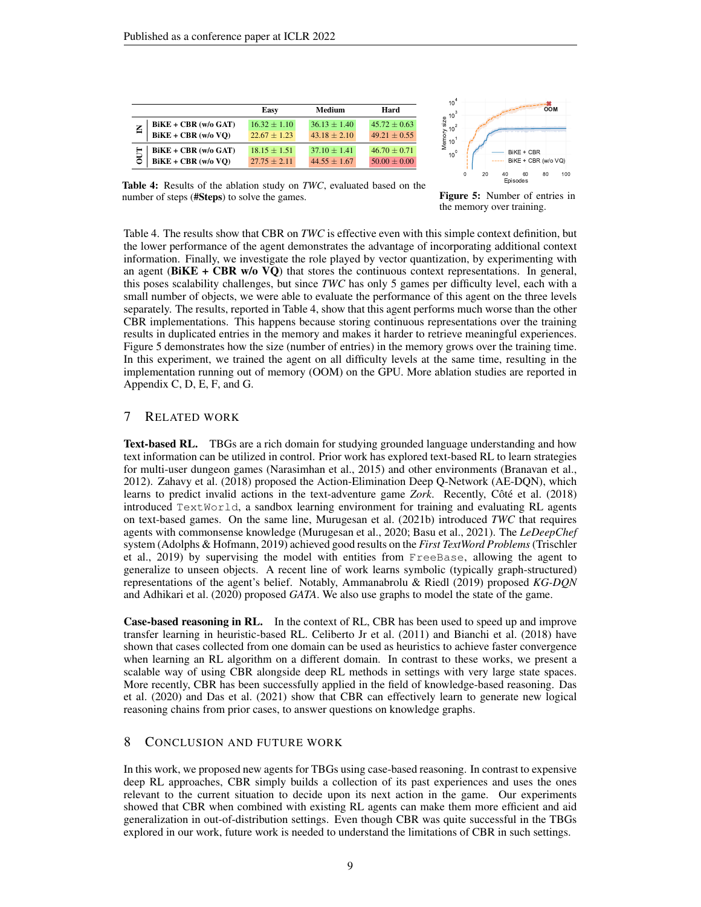<span id="page-8-0"></span>

|                          | Easy             | Medium           | Hard             |
|--------------------------|------------------|------------------|------------------|
| $BiKE + CBR$ (w/o GAT)   | $16.32 + 1.10$   | $36.13 + 1.40$   | $45.72 + 0.63$   |
| $BiKE + CBR$ (w/o VO)    | $22.67 + 1.23$   | $43.18 \pm 2.10$ | $49.21 \pm 0.55$ |
| $BiKE + CBR$ (w/o GAT)   | $18.15 + 1.51$   | $37.10 + 1.41$   | $46.70 + 0.71$   |
| $BiKE + CBR$ (w/o $VQ$ ) | $27.75 \pm 2.11$ | $44.55 + 1.67$   | $50.00 + 0.00$   |



Table 4: Results of the ablation study on *TWC*, evaluated based on the number of steps (#Steps) to solve the games.

Figure 5: Number of entries in the memory over training.

Table [4.](#page-8-0) The results show that CBR on *TWC* is effective even with this simple context definition, but the lower performance of the agent demonstrates the advantage of incorporating additional context information. Finally, we investigate the role played by vector quantization, by experimenting with an agent (BiKE + CBR w/o VQ) that stores the continuous context representations. In general, this poses scalability challenges, but since *TWC* has only 5 games per difficulty level, each with a small number of objects, we were able to evaluate the performance of this agent on the three levels separately. The results, reported in Table [4,](#page-8-0) show that this agent performs much worse than the other CBR implementations. This happens because storing continuous representations over the training results in duplicated entries in the memory and makes it harder to retrieve meaningful experiences. Figure [5](#page-8-0) demonstrates how the size (number of entries) in the memory grows over the training time. In this experiment, we trained the agent on all difficulty levels at the same time, resulting in the implementation running out of memory (OOM) on the GPU. More ablation studies are reported in Appendix [C,](#page-13-1) [D,](#page-14-0) [E,](#page-15-0) [F,](#page-16-1) and [G.](#page-16-0)

## 7 RELATED WORK

**Text-based RL.** TBGs are a rich domain for studying grounded language understanding and how text information can be utilized in control. Prior work has explored text-based RL to learn strategies for multi-user dungeon games [\(Narasimhan et al., 2015\)](#page-11-8) and other environments [\(Branavan et al.,](#page-9-7) [2012\)](#page-9-7). [Zahavy et al.](#page-12-1) [\(2018\)](#page-12-1) proposed the Action-Elimination Deep Q-Network (AE-DQN), which learns to predict invalid actions in the text-adventure game *Zork*. Recently, [Côté et al.](#page-10-4) [\(2018\)](#page-10-4) introduced TextWorld, a sandbox learning environment for training and evaluating RL agents on text-based games. On the same line, [Murugesan et al.](#page-11-0) [\(2021b\)](#page-11-0) introduced *TWC* that requires agents with commonsense knowledge [\(Murugesan et al., 2020;](#page-11-9) [Basu et al., 2021\)](#page-9-8). The *LeDeepChef* system [\(Adolphs & Hofmann, 2019\)](#page-9-6) achieved good results on the *First TextWord Problems*[\(Trischler](#page-11-10) [et al., 2019\)](#page-11-10) by supervising the model with entities from FreeBase, allowing the agent to generalize to unseen objects. A recent line of work learns symbolic (typically graph-structured) representations of the agent's belief. Notably, [Ammanabrolu & Riedl](#page-9-0) [\(2019\)](#page-9-0) proposed *KG-DQN* and [Adhikari et al.](#page-9-2) [\(2020\)](#page-9-2) proposed *GATA*. We also use graphs to model the state of the game.

Case-based reasoning in RL. In the context of RL, CBR has been used to speed up and improve transfer learning in heuristic-based RL. [Celiberto Jr et al.](#page-10-7) [\(2011\)](#page-10-7) and [Bianchi et al.](#page-9-9) [\(2018\)](#page-9-9) have shown that cases collected from one domain can be used as heuristics to achieve faster convergence when learning an RL algorithm on a different domain. In contrast to these works, we present a scalable way of using CBR alongside deep RL methods in settings with very large state spaces. More recently, CBR has been successfully applied in the field of knowledge-based reasoning. [Das](#page-10-8) [et al.](#page-10-8) [\(2020\)](#page-10-8) and [Das et al.](#page-10-9) [\(2021\)](#page-10-9) show that CBR can effectively learn to generate new logical reasoning chains from prior cases, to answer questions on knowledge graphs.

## 8 CONCLUSION AND FUTURE WORK

In this work, we proposed new agents for TBGs using case-based reasoning. In contrast to expensive deep RL approaches, CBR simply builds a collection of its past experiences and uses the ones relevant to the current situation to decide upon its next action in the game. Our experiments showed that CBR when combined with existing RL agents can make them more efficient and aid generalization in out-of-distribution settings. Even though CBR was quite successful in the TBGs explored in our work, future work is needed to understand the limitations of CBR in such settings.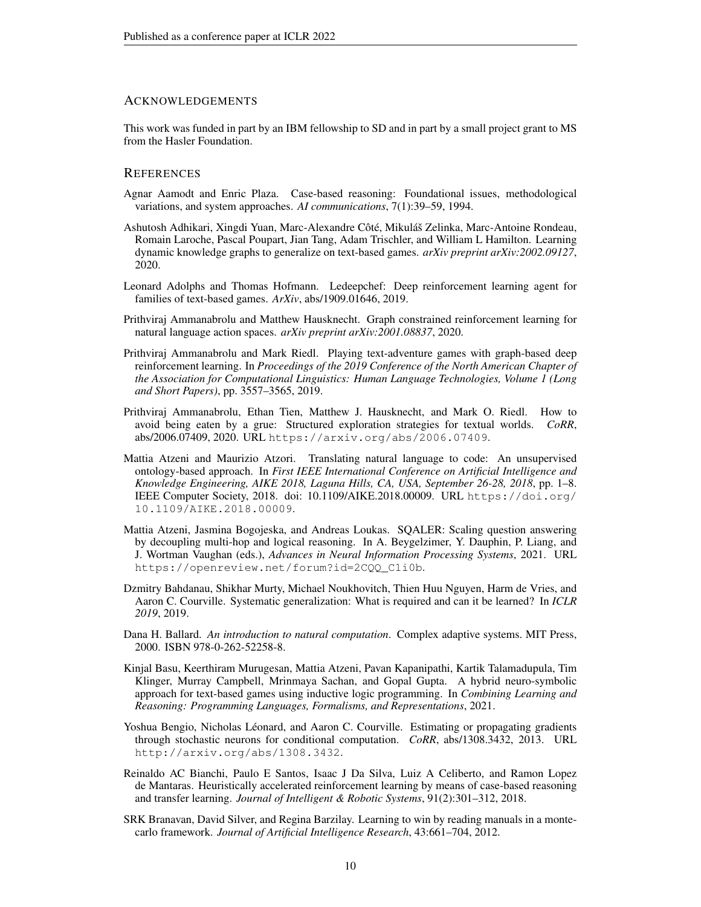## ACKNOWLEDGEMENTS

This work was funded in part by an IBM fellowship to SD and in part by a small project grant to MS from the Hasler Foundation.

## **REFERENCES**

- <span id="page-9-3"></span>Agnar Aamodt and Enric Plaza. Case-based reasoning: Foundational issues, methodological variations, and system approaches. *AI communications*, 7(1):39–59, 1994.
- <span id="page-9-2"></span>Ashutosh Adhikari, Xingdi Yuan, Marc-Alexandre Côté, Mikuláš Zelinka, Marc-Antoine Rondeau, Romain Laroche, Pascal Poupart, Jian Tang, Adam Trischler, and William L Hamilton. Learning dynamic knowledge graphs to generalize on text-based games. *arXiv preprint arXiv:2002.09127*, 2020.
- <span id="page-9-6"></span>Leonard Adolphs and Thomas Hofmann. Ledeepchef: Deep reinforcement learning agent for families of text-based games. *ArXiv*, abs/1909.01646, 2019.
- <span id="page-9-1"></span>Prithviraj Ammanabrolu and Matthew Hausknecht. Graph constrained reinforcement learning for natural language action spaces. *arXiv preprint arXiv:2001.08837*, 2020.
- <span id="page-9-0"></span>Prithviraj Ammanabrolu and Mark Riedl. Playing text-adventure games with graph-based deep reinforcement learning. In *Proceedings of the 2019 Conference of the North American Chapter of the Association for Computational Linguistics: Human Language Technologies, Volume 1 (Long and Short Papers)*, pp. 3557–3565, 2019.
- <span id="page-9-13"></span>Prithviraj Ammanabrolu, Ethan Tien, Matthew J. Hausknecht, and Mark O. Riedl. How to avoid being eaten by a grue: Structured exploration strategies for textual worlds. *CoRR*, abs/2006.07409, 2020. URL <https://arxiv.org/abs/2006.07409>.
- <span id="page-9-10"></span>Mattia Atzeni and Maurizio Atzori. Translating natural language to code: An unsupervised ontology-based approach. In *First IEEE International Conference on Artificial Intelligence and Knowledge Engineering, AIKE 2018, Laguna Hills, CA, USA, September 26-28, 2018*, pp. 1–8. IEEE Computer Society, 2018. doi: 10.1109/AIKE.2018.00009. URL [https://doi.org/](https://doi.org/10.1109/AIKE.2018.00009) [10.1109/AIKE.2018.00009](https://doi.org/10.1109/AIKE.2018.00009).
- <span id="page-9-12"></span>Mattia Atzeni, Jasmina Bogojeska, and Andreas Loukas. SQALER: Scaling question answering by decoupling multi-hop and logical reasoning. In A. Beygelzimer, Y. Dauphin, P. Liang, and J. Wortman Vaughan (eds.), *Advances in Neural Information Processing Systems*, 2021. URL [https://openreview.net/forum?id=2CQQ\\_C1i0b](https://openreview.net/forum?id=2CQQ_C1i0b).
- <span id="page-9-11"></span>Dzmitry Bahdanau, Shikhar Murty, Michael Noukhovitch, Thien Huu Nguyen, Harm de Vries, and Aaron C. Courville. Systematic generalization: What is required and can it be learned? In *ICLR 2019*, 2019.
- <span id="page-9-4"></span>Dana H. Ballard. *An introduction to natural computation*. Complex adaptive systems. MIT Press, 2000. ISBN 978-0-262-52258-8.
- <span id="page-9-8"></span>Kinjal Basu, Keerthiram Murugesan, Mattia Atzeni, Pavan Kapanipathi, Kartik Talamadupula, Tim Klinger, Murray Campbell, Mrinmaya Sachan, and Gopal Gupta. A hybrid neuro-symbolic approach for text-based games using inductive logic programming. In *Combining Learning and Reasoning: Programming Languages, Formalisms, and Representations*, 2021.
- <span id="page-9-5"></span>Yoshua Bengio, Nicholas Léonard, and Aaron C. Courville. Estimating or propagating gradients through stochastic neurons for conditional computation. *CoRR*, abs/1308.3432, 2013. URL <http://arxiv.org/abs/1308.3432>.
- <span id="page-9-9"></span>Reinaldo AC Bianchi, Paulo E Santos, Isaac J Da Silva, Luiz A Celiberto, and Ramon Lopez de Mantaras. Heuristically accelerated reinforcement learning by means of case-based reasoning and transfer learning. *Journal of Intelligent & Robotic Systems*, 91(2):301–312, 2018.
- <span id="page-9-7"></span>SRK Branavan, David Silver, and Regina Barzilay. Learning to win by reading manuals in a montecarlo framework. *Journal of Artificial Intelligence Research*, 43:661–704, 2012.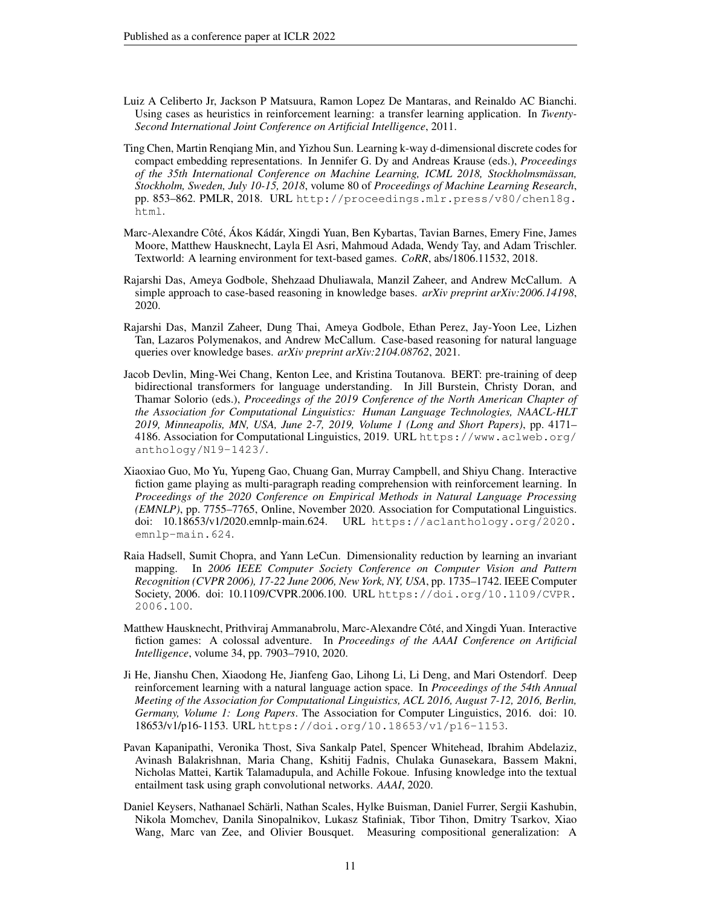- <span id="page-10-7"></span>Luiz A Celiberto Jr, Jackson P Matsuura, Ramon Lopez De Mantaras, and Reinaldo AC Bianchi. Using cases as heuristics in reinforcement learning: a transfer learning application. In *Twenty-Second International Joint Conference on Artificial Intelligence*, 2011.
- <span id="page-10-2"></span>Ting Chen, Martin Renqiang Min, and Yizhou Sun. Learning k-way d-dimensional discrete codes for compact embedding representations. In Jennifer G. Dy and Andreas Krause (eds.), *Proceedings of the 35th International Conference on Machine Learning, ICML 2018, Stockholmsmässan, Stockholm, Sweden, July 10-15, 2018*, volume 80 of *Proceedings of Machine Learning Research*, pp. 853–862. PMLR, 2018. URL [http://proceedings.mlr.press/v80/chen18g.](http://proceedings.mlr.press/v80/chen18g.html) [html](http://proceedings.mlr.press/v80/chen18g.html).
- <span id="page-10-4"></span>Marc-Alexandre Côté, Ákos Kádár, Xingdi Yuan, Ben Kybartas, Tavian Barnes, Emery Fine, James Moore, Matthew Hausknecht, Layla El Asri, Mahmoud Adada, Wendy Tay, and Adam Trischler. Textworld: A learning environment for text-based games. *CoRR*, abs/1806.11532, 2018.
- <span id="page-10-8"></span>Rajarshi Das, Ameya Godbole, Shehzaad Dhuliawala, Manzil Zaheer, and Andrew McCallum. A simple approach to case-based reasoning in knowledge bases. *arXiv preprint arXiv:2006.14198*, 2020.
- <span id="page-10-9"></span>Rajarshi Das, Manzil Zaheer, Dung Thai, Ameya Godbole, Ethan Perez, Jay-Yoon Lee, Lizhen Tan, Lazaros Polymenakos, and Andrew McCallum. Case-based reasoning for natural language queries over knowledge bases. *arXiv preprint arXiv:2104.08762*, 2021.
- <span id="page-10-1"></span>Jacob Devlin, Ming-Wei Chang, Kenton Lee, and Kristina Toutanova. BERT: pre-training of deep bidirectional transformers for language understanding. In Jill Burstein, Christy Doran, and Thamar Solorio (eds.), *Proceedings of the 2019 Conference of the North American Chapter of the Association for Computational Linguistics: Human Language Technologies, NAACL-HLT 2019, Minneapolis, MN, USA, June 2-7, 2019, Volume 1 (Long and Short Papers)*, pp. 4171– 4186. Association for Computational Linguistics, 2019. URL [https://www.aclweb.org/](https://www.aclweb.org/anthology/N19-1423/) [anthology/N19-1423/](https://www.aclweb.org/anthology/N19-1423/).
- <span id="page-10-5"></span>Xiaoxiao Guo, Mo Yu, Yupeng Gao, Chuang Gan, Murray Campbell, and Shiyu Chang. Interactive fiction game playing as multi-paragraph reading comprehension with reinforcement learning. In *Proceedings of the 2020 Conference on Empirical Methods in Natural Language Processing (EMNLP)*, pp. 7755–7765, Online, November 2020. Association for Computational Linguistics. doi: 10.18653/v1/2020.emnlp-main.624. URL [https://aclanthology.org/2020.](https://aclanthology.org/2020.emnlp-main.624) [emnlp-main.624](https://aclanthology.org/2020.emnlp-main.624).
- <span id="page-10-3"></span>Raia Hadsell, Sumit Chopra, and Yann LeCun. Dimensionality reduction by learning an invariant mapping. In *2006 IEEE Computer Society Conference on Computer Vision and Pattern Recognition (CVPR 2006), 17-22 June 2006, New York, NY, USA*, pp. 1735–1742. IEEE Computer Society, 2006. doi: 10.1109/CVPR.2006.100. URL [https://doi.org/10.1109/CVPR.](https://doi.org/10.1109/CVPR.2006.100) [2006.100](https://doi.org/10.1109/CVPR.2006.100).
- <span id="page-10-0"></span>Matthew Hausknecht, Prithviraj Ammanabrolu, Marc-Alexandre Côté, and Xingdi Yuan. Interactive fiction games: A colossal adventure. In *Proceedings of the AAAI Conference on Artificial Intelligence*, volume 34, pp. 7903–7910, 2020.
- <span id="page-10-6"></span>Ji He, Jianshu Chen, Xiaodong He, Jianfeng Gao, Lihong Li, Li Deng, and Mari Ostendorf. Deep reinforcement learning with a natural language action space. In *Proceedings of the 54th Annual Meeting of the Association for Computational Linguistics, ACL 2016, August 7-12, 2016, Berlin, Germany, Volume 1: Long Papers*. The Association for Computer Linguistics, 2016. doi: 10. 18653/v1/p16-1153. URL <https://doi.org/10.18653/v1/p16-1153>.
- <span id="page-10-10"></span>Pavan Kapanipathi, Veronika Thost, Siva Sankalp Patel, Spencer Whitehead, Ibrahim Abdelaziz, Avinash Balakrishnan, Maria Chang, Kshitij Fadnis, Chulaka Gunasekara, Bassem Makni, Nicholas Mattei, Kartik Talamadupula, and Achille Fokoue. Infusing knowledge into the textual entailment task using graph convolutional networks. *AAAI*, 2020.
- <span id="page-10-11"></span>Daniel Keysers, Nathanael Schärli, Nathan Scales, Hylke Buisman, Daniel Furrer, Sergii Kashubin, Nikola Momchev, Danila Sinopalnikov, Lukasz Stafiniak, Tibor Tihon, Dmitry Tsarkov, Xiao Wang, Marc van Zee, and Olivier Bousquet. Measuring compositional generalization: A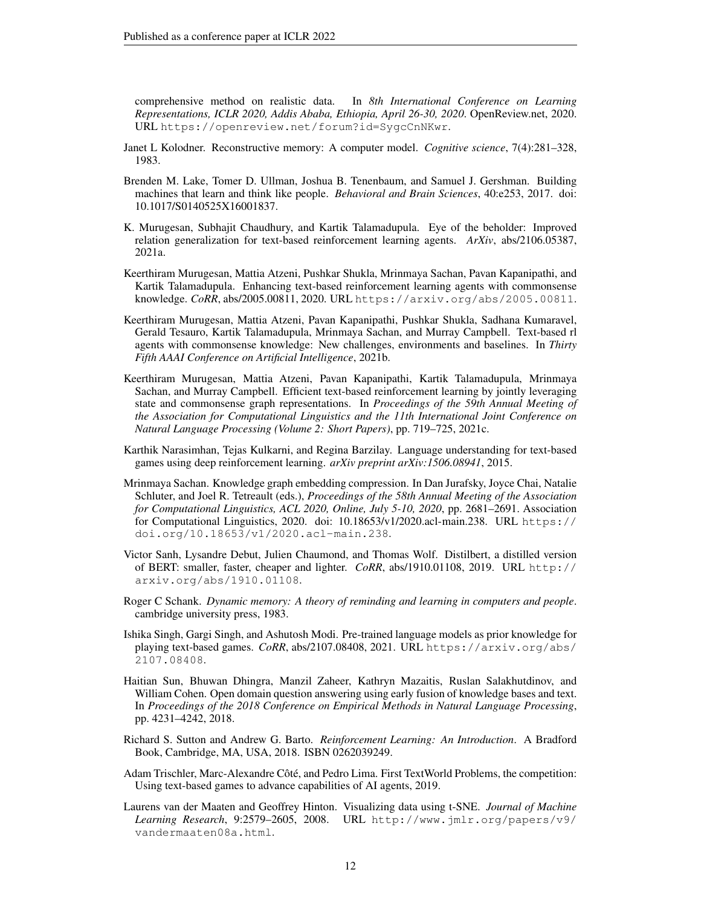comprehensive method on realistic data. In *8th International Conference on Learning Representations, ICLR 2020, Addis Ababa, Ethiopia, April 26-30, 2020*. OpenReview.net, 2020. URL <https://openreview.net/forum?id=SygcCnNKwr>.

- <span id="page-11-4"></span>Janet L Kolodner. Reconstructive memory: A computer model. *Cognitive science*, 7(4):281–328, 1983.
- <span id="page-11-2"></span>Brenden M. Lake, Tomer D. Ullman, Joshua B. Tenenbaum, and Samuel J. Gershman. Building machines that learn and think like people. *Behavioral and Brain Sciences*, 40:e253, 2017. doi: 10.1017/S0140525X16001837.
- <span id="page-11-1"></span>K. Murugesan, Subhajit Chaudhury, and Kartik Talamadupula. Eye of the beholder: Improved relation generalization for text-based reinforcement learning agents. *ArXiv*, abs/2106.05387, 2021a.
- <span id="page-11-9"></span>Keerthiram Murugesan, Mattia Atzeni, Pushkar Shukla, Mrinmaya Sachan, Pavan Kapanipathi, and Kartik Talamadupula. Enhancing text-based reinforcement learning agents with commonsense knowledge. *CoRR*, abs/2005.00811, 2020. URL <https://arxiv.org/abs/2005.00811>.
- <span id="page-11-0"></span>Keerthiram Murugesan, Mattia Atzeni, Pavan Kapanipathi, Pushkar Shukla, Sadhana Kumaravel, Gerald Tesauro, Kartik Talamadupula, Mrinmaya Sachan, and Murray Campbell. Text-based rl agents with commonsense knowledge: New challenges, environments and baselines. In *Thirty Fifth AAAI Conference on Artificial Intelligence*, 2021b.
- <span id="page-11-5"></span>Keerthiram Murugesan, Mattia Atzeni, Pavan Kapanipathi, Kartik Talamadupula, Mrinmaya Sachan, and Murray Campbell. Efficient text-based reinforcement learning by jointly leveraging state and commonsense graph representations. In *Proceedings of the 59th Annual Meeting of the Association for Computational Linguistics and the 11th International Joint Conference on Natural Language Processing (Volume 2: Short Papers)*, pp. 719–725, 2021c.
- <span id="page-11-8"></span>Karthik Narasimhan, Tejas Kulkarni, and Regina Barzilay. Language understanding for text-based games using deep reinforcement learning. *arXiv preprint arXiv:1506.08941*, 2015.
- <span id="page-11-7"></span>Mrinmaya Sachan. Knowledge graph embedding compression. In Dan Jurafsky, Joyce Chai, Natalie Schluter, and Joel R. Tetreault (eds.), *Proceedings of the 58th Annual Meeting of the Association for Computational Linguistics, ACL 2020, Online, July 5-10, 2020*, pp. 2681–2691. Association for Computational Linguistics, 2020. doi: 10.18653/v1/2020.acl-main.238. URL [https://](https://doi.org/10.18653/v1/2020.acl-main.238) [doi.org/10.18653/v1/2020.acl-main.238](https://doi.org/10.18653/v1/2020.acl-main.238).
- <span id="page-11-14"></span>Victor Sanh, Lysandre Debut, Julien Chaumond, and Thomas Wolf. Distilbert, a distilled version of BERT: smaller, faster, cheaper and lighter. *CoRR*, abs/1910.01108, 2019. URL [http://](http://arxiv.org/abs/1910.01108) [arxiv.org/abs/1910.01108](http://arxiv.org/abs/1910.01108).
- <span id="page-11-3"></span>Roger C Schank. *Dynamic memory: A theory of reminding and learning in computers and people*. cambridge university press, 1983.
- <span id="page-11-13"></span>Ishika Singh, Gargi Singh, and Ashutosh Modi. Pre-trained language models as prior knowledge for playing text-based games. *CoRR*, abs/2107.08408, 2021. URL [https://arxiv.org/abs/](https://arxiv.org/abs/2107.08408) [2107.08408](https://arxiv.org/abs/2107.08408).
- <span id="page-11-6"></span>Haitian Sun, Bhuwan Dhingra, Manzil Zaheer, Kathryn Mazaitis, Ruslan Salakhutdinov, and William Cohen. Open domain question answering using early fusion of knowledge bases and text. In *Proceedings of the 2018 Conference on Empirical Methods in Natural Language Processing*, pp. 4231–4242, 2018.
- <span id="page-11-11"></span>Richard S. Sutton and Andrew G. Barto. *Reinforcement Learning: An Introduction*. A Bradford Book, Cambridge, MA, USA, 2018. ISBN 0262039249.
- <span id="page-11-10"></span>Adam Trischler, Marc-Alexandre Côté, and Pedro Lima. First TextWorld Problems, the competition: Using text-based games to advance capabilities of AI agents, 2019.
- <span id="page-11-12"></span>Laurens van der Maaten and Geoffrey Hinton. Visualizing data using t-SNE. *Journal of Machine Learning Research*, 9:2579–2605, 2008. URL [http://www.jmlr.org/papers/v9/](http://www.jmlr.org/papers/v9/vandermaaten08a.html) [vandermaaten08a.html](http://www.jmlr.org/papers/v9/vandermaaten08a.html).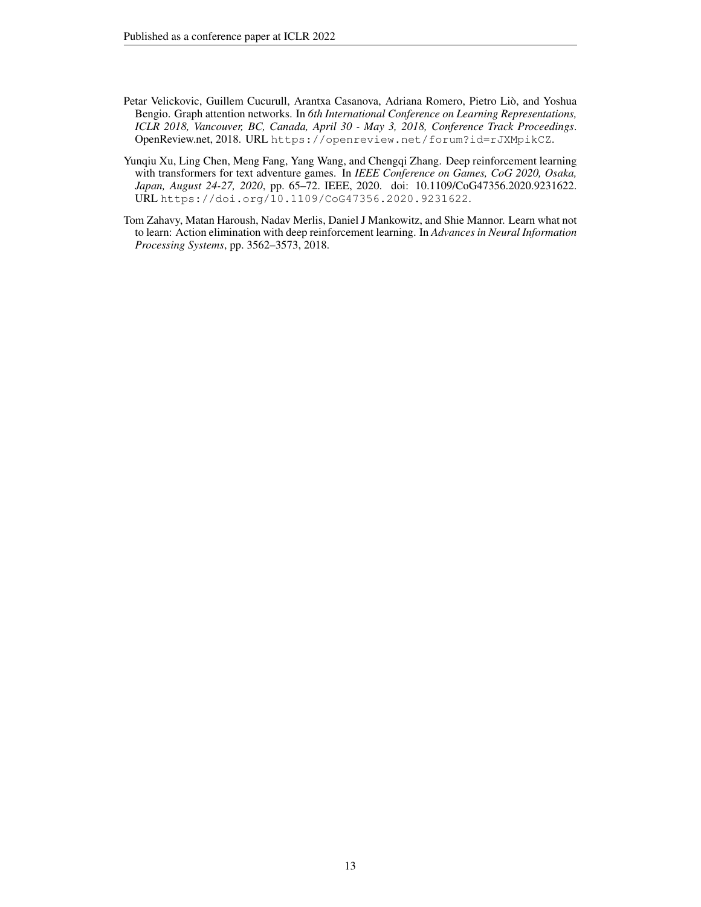- <span id="page-12-0"></span>Petar Velickovic, Guillem Cucurull, Arantxa Casanova, Adriana Romero, Pietro Liò, and Yoshua Bengio. Graph attention networks. In *6th International Conference on Learning Representations, ICLR 2018, Vancouver, BC, Canada, April 30 - May 3, 2018, Conference Track Proceedings*. OpenReview.net, 2018. URL <https://openreview.net/forum?id=rJXMpikCZ>.
- <span id="page-12-2"></span>Yunqiu Xu, Ling Chen, Meng Fang, Yang Wang, and Chengqi Zhang. Deep reinforcement learning with transformers for text adventure games. In *IEEE Conference on Games, CoG 2020, Osaka, Japan, August 24-27, 2020*, pp. 65–72. IEEE, 2020. doi: 10.1109/CoG47356.2020.9231622. URL <https://doi.org/10.1109/CoG47356.2020.9231622>.
- <span id="page-12-1"></span>Tom Zahavy, Matan Haroush, Nadav Merlis, Daniel J Mankowitz, and Shie Mannor. Learn what not to learn: Action elimination with deep reinforcement learning. In *Advances in Neural Information Processing Systems*, pp. 3562–3573, 2018.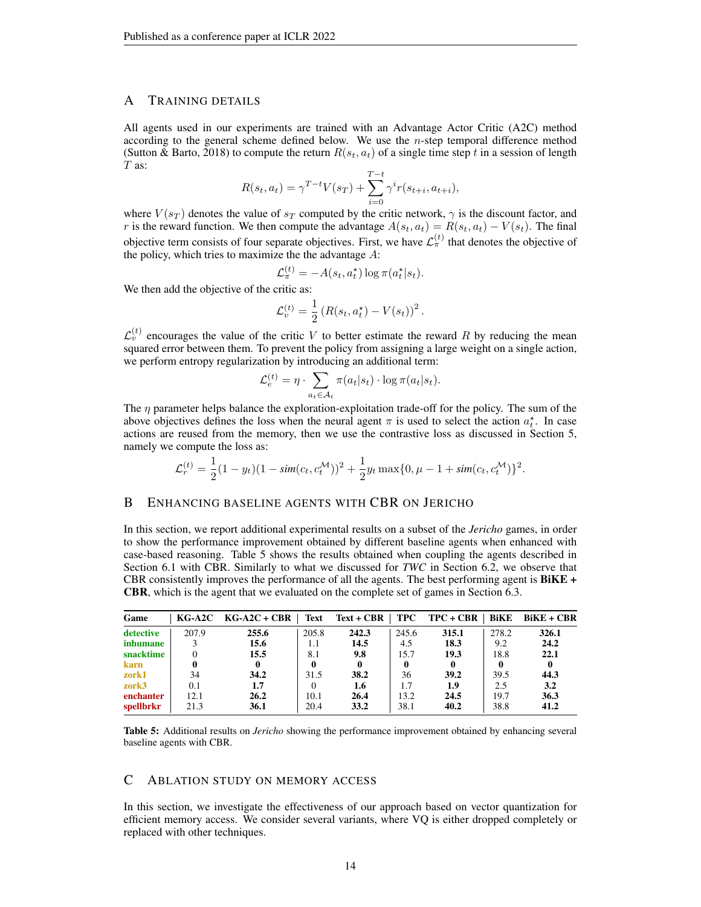## <span id="page-13-0"></span>A TRAINING DETAILS

All agents used in our experiments are trained with an Advantage Actor Critic (A2C) method according to the general scheme defined below. We use the  $n$ -step temporal difference method [\(Sutton & Barto, 2018\)](#page-11-11) to compute the return  $R(s_t, a_t)$  of a single time step t in a session of length  $T$  as:

$$
R(s_t, a_t) = \gamma^{T-t} V(s_T) + \sum_{i=0}^{T-t} \gamma^i r(s_{t+i}, a_{t+i}),
$$

where  $V(s_T)$  denotes the value of  $s_T$  computed by the critic network,  $\gamma$  is the discount factor, and r is the reward function. We then compute the advantage  $A(s_t, a_t) = R(s_t, a_t) - V(s_t)$ . The final objective term consists of four separate objectives. First, we have  $\mathcal{L}_{\pi}^{(t)}$  that denotes the objective of the policy, which tries to maximize the the advantage  $A$ :

$$
\mathcal{L}_{\pi}^{(t)} = -A(s_t, a_t^{\star}) \log \pi(a_t^{\star} | s_t).
$$

We then add the objective of the critic as:

$$
\mathcal{L}_v^{(t)} = \frac{1}{2} \left( R(s_t, a_t^{\star}) - V(s_t) \right)^2.
$$

 $\mathcal{L}_{v}^{(t)}$  encourages the value of the critic V to better estimate the reward R by reducing the mean squared error between them. To prevent the policy from assigning a large weight on a single action, we perform entropy regularization by introducing an additional term:

$$
\mathcal{L}_e^{(t)} = \eta \cdot \sum_{a_t \in \mathcal{A}_t} \pi(a_t|s_t) \cdot \log \pi(a_t|s_t).
$$

The  $\eta$  parameter helps balance the exploration-exploitation trade-off for the policy. The sum of the above objectives defines the loss when the neural agent  $\pi$  is used to select the action  $a_t^*$ . In case actions are reused from the memory, then we use the contrastive loss as discussed in Section [5,](#page-4-0) namely we compute the loss as:

$$
\mathcal{L}_r^{(t)} = \frac{1}{2}(1 - y_t)(1 - \text{sim}(c_t, c_t^{\mathcal{M}}))^2 + \frac{1}{2}y_t \max\{0, \mu - 1 + \text{sim}(c_t, c_t^{\mathcal{M}})\}^2.
$$

#### B ENHANCING BASELINE AGENTS WITH CBR ON JERICHO

In this section, we report additional experimental results on a subset of the *Jericho* games, in order to show the performance improvement obtained by different baseline agents when enhanced with case-based reasoning. Table [5](#page-13-2) shows the results obtained when coupling the agents described in Section [6.1](#page-4-1) with CBR. Similarly to what we discussed for *TWC* in Section [6.2,](#page-5-2) we observe that CBR consistently improves the performance of all the agents. The best performing agent is BiKE + CBR, which is the agent that we evaluated on the complete set of games in Section [6.3.](#page-6-1)

<span id="page-13-2"></span>

| Game      |       | $KG-A2C$ $KG-A2C+CBR$ | Text  | $Text + CBR$ | TPC          | $TPC + CBR$ | BiKE  | BiKE + CBR |
|-----------|-------|-----------------------|-------|--------------|--------------|-------------|-------|------------|
| detective | 207.9 | 255.6                 | 205.8 | 242.3        | 245.6        | 315.1       | 278.2 | 326.1      |
| inhumane  |       | 15.6                  | 1.1   | 14.5         | 4.5          | 18.3        | 9.2   | 24.2       |
| snacktime |       | 15.5                  | 8.1   | 9.8          | 15.7         | 19.3        | 18.8  | 22.1       |
| karn      |       | 0                     |       | $\mathbf{0}$ | $\mathbf{0}$ | 0           | 0     | 0          |
| zork1     | 34    | 34.2                  | 31.5  | 38.2         | 36           | 39.2        | 39.5  | 44.3       |
| zork3     | 0.1   | 1.7                   |       | 1.6          | 1.7          | 1.9         | 2.5   | 3.2        |
| enchanter | 12.1  | 26.2                  | 10.1  | 26.4         | 13.2         | 24.5        | 19.7  | 36.3       |
| spellbrkr | 21.3  | 36.1                  | 20.4  | 33.2         | 38.1         | 40.2        | 38.8  | 41.2       |

Table 5: Additional results on *Jericho* showing the performance improvement obtained by enhancing several baseline agents with CBR.

## <span id="page-13-1"></span>C ABLATION STUDY ON MEMORY ACCESS

In this section, we investigate the effectiveness of our approach based on vector quantization for efficient memory access. We consider several variants, where VQ is either dropped completely or replaced with other techniques.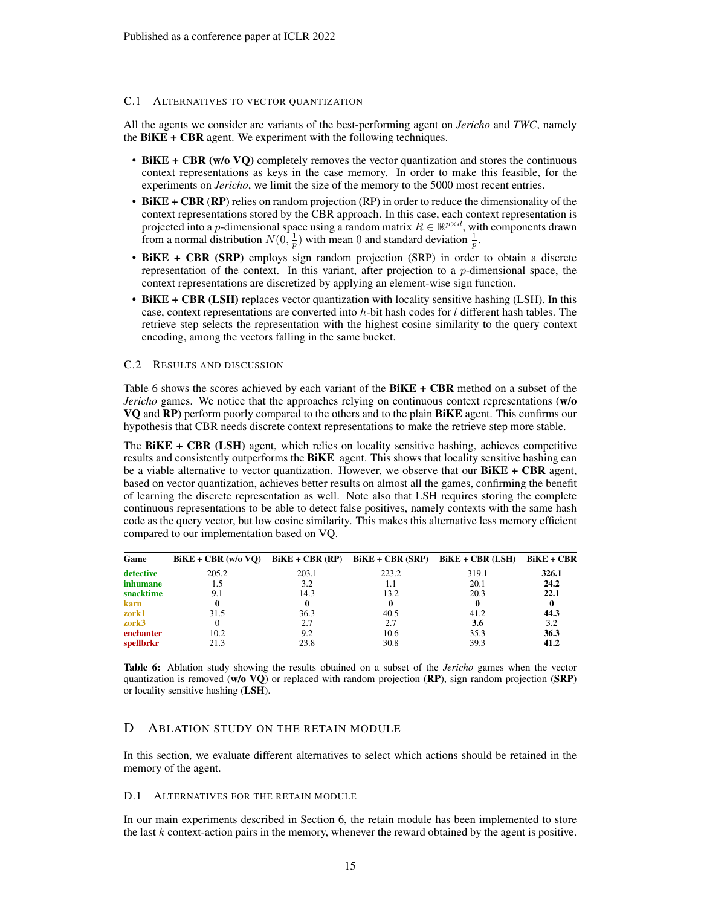#### C.1 ALTERNATIVES TO VECTOR QUANTIZATION

All the agents we consider are variants of the best-performing agent on *Jericho* and *TWC*, namely the  $BiKE + CBR$  agent. We experiment with the following techniques.

- BiKE + CBR (w/o VQ) completely removes the vector quantization and stores the continuous context representations as keys in the case memory. In order to make this feasible, for the experiments on *Jericho*, we limit the size of the memory to the 5000 most recent entries.
- BiKE + CBR (RP) relies on random projection (RP) in order to reduce the dimensionality of the context representations stored by the CBR approach. In this case, each context representation is projected into a p-dimensional space using a random matrix  $R \in \mathbb{R}^{p \times d}$ , with components drawn from a normal distribution  $N(0, \frac{1}{p})$  with mean 0 and standard deviation  $\frac{1}{p}$ .
- BiKE + CBR (SRP) employs sign random projection (SRP) in order to obtain a discrete representation of the context. In this variant, after projection to a  $p$ -dimensional space, the context representations are discretized by applying an element-wise sign function.
- BiKE + CBR (LSH) replaces vector quantization with locality sensitive hashing (LSH). In this case, context representations are converted into  $h$ -bit hash codes for  $l$  different hash tables. The retrieve step selects the representation with the highest cosine similarity to the query context encoding, among the vectors falling in the same bucket.

#### C.2 RESULTS AND DISCUSSION

Table [6](#page-14-1) shows the scores achieved by each variant of the  $BiKE + CBR$  method on a subset of the *Jericho* games. We notice that the approaches relying on continuous context representations (w/o VQ and RP) perform poorly compared to the others and to the plain BiKE agent. This confirms our hypothesis that CBR needs discrete context representations to make the retrieve step more stable.

The BiKE + CBR (LSH) agent, which relies on locality sensitive hashing, achieves competitive results and consistently outperforms the **BiKE** agent. This shows that locality sensitive hashing can be a viable alternative to vector quantization. However, we observe that our  $BiKE + CBR$  agent, based on vector quantization, achieves better results on almost all the games, confirming the benefit of learning the discrete representation as well. Note also that LSH requires storing the complete continuous representations to be able to detect false positives, namely contexts with the same hash code as the query vector, but low cosine similarity. This makes this alternative less memory efficient compared to our implementation based on VQ.

<span id="page-14-1"></span>

| Game      | $BiKE + CBR$ (w/o VO) $BiKE + CBR$ (RP) $BiKE + CBR$ (SRP) |       |       | $BiKE + CBR$ (LSH) | $BiKE + CBR$ |
|-----------|------------------------------------------------------------|-------|-------|--------------------|--------------|
| detective | 205.2                                                      | 203.1 | 223.2 | 319.1              | 326.1        |
| inhumane  |                                                            | 3.2   | 1.1   | 20.1               | 24.2         |
| snacktime | 9.1                                                        | 14.3  | 13.2  | 20.3               | 22.1         |
| karn      |                                                            | o     | 0     | 0                  |              |
| zork1     | 31.5                                                       | 36.3  | 40.5  | 41.2               | 44.3         |
| zork3     |                                                            | 2.7   | 2.7   | 3.6                | 3.2          |
| enchanter | 10.2                                                       | 9.2   | 10.6  | 35.3               | 36.3         |
| spellbrkr | 21.3                                                       | 23.8  | 30.8  | 39.3               | 41.2         |

Table 6: Ablation study showing the results obtained on a subset of the *Jericho* games when the vector quantization is removed (w/o  $\overline{VQ}$ ) or replaced with random projection ( $\overline{RP}$ ), sign random projection ( $\overline{SRP}$ ) or locality sensitive hashing (LSH).

## <span id="page-14-0"></span>D ABLATION STUDY ON THE RETAIN MODULE

In this section, we evaluate different alternatives to select which actions should be retained in the memory of the agent.

#### D.1 ALTERNATIVES FOR THE RETAIN MODULE

In our main experiments described in Section [6,](#page-4-2) the retain module has been implemented to store the last  $k$  context-action pairs in the memory, whenever the reward obtained by the agent is positive.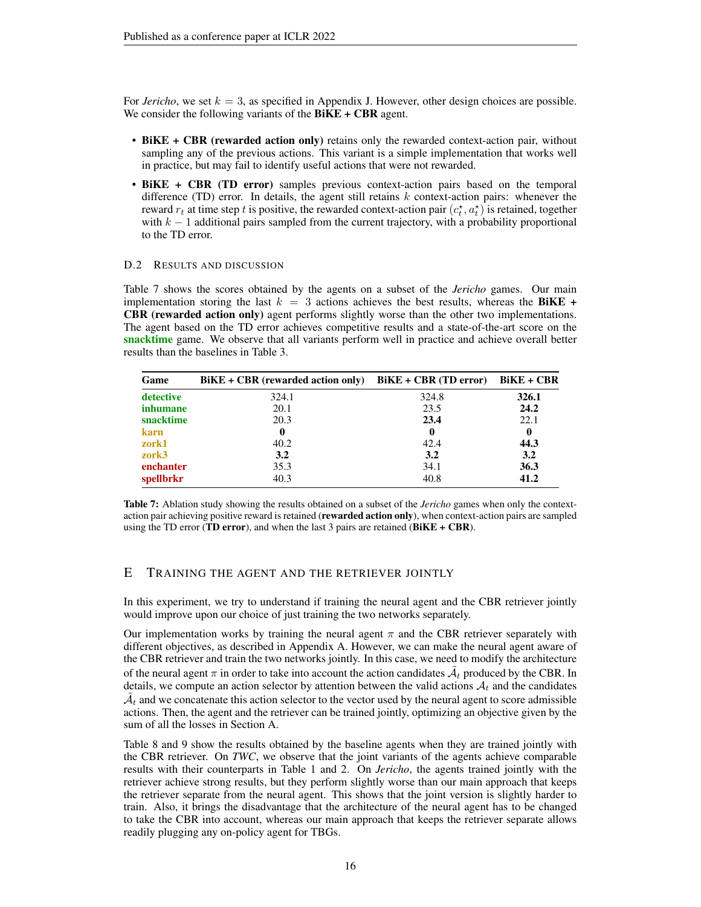For *Jericho*, we set  $k = 3$ , as specified in Appendix [J.](#page-19-0) However, other design choices are possible. We consider the following variants of the  $BiKE + CBR$  agent.

- BiKE + CBR (rewarded action only) retains only the rewarded context-action pair, without sampling any of the previous actions. This variant is a simple implementation that works well in practice, but may fail to identify useful actions that were not rewarded.
- BiKE + CBR (TD error) samples previous context-action pairs based on the temporal difference (TD) error. In details, the agent still retains  $k$  context-action pairs: whenever the reward  $r_t$  at time step t is positive, the rewarded context-action pair  $(c_t^*, a_t^*)$  is retained, together with  $k - 1$  additional pairs sampled from the current trajectory, with a probability proportional to the TD error.

#### D.2 RESULTS AND DISCUSSION

Table [7](#page-15-1) shows the scores obtained by the agents on a subset of the *Jericho* games. Our main implementation storing the last  $k = 3$  actions achieves the best results, whereas the BiKE + CBR (rewarded action only) agent performs slightly worse than the other two implementations. The agent based on the TD error achieves competitive results and a state-of-the-art score on the snacktime game. We observe that all variants perform well in practice and achieve overall better results than the baselines in Table [3.](#page-7-0)

<span id="page-15-1"></span>

| Game      | $BiKE + CBR$ (rewarded action only) | $BiKE + CBR$ (TD error) | $BiKE + CBR$ |
|-----------|-------------------------------------|-------------------------|--------------|
| detective | 324.1                               | 324.8                   | 326.1        |
| inhumane  | 20.1                                | 23.5                    | 24.2         |
| snacktime | 20.3                                | 23.4                    | 22.1         |
| karn      | 0                                   | $\bf{0}$                | 0            |
| zork1     | 40.2                                | 42.4                    | 44.3         |
| zork3     | 3.2                                 | 3.2                     | 3.2          |
| enchanter | 35.3                                | 34.1                    | 36.3         |
| spellbrkr | 40.3                                | 40.8                    | 41.2         |

Table 7: Ablation study showing the results obtained on a subset of the *Jericho* games when only the contextaction pair achieving positive reward is retained (rewarded action only), when context-action pairs are sampled using the TD error (TD error), and when the last 3 pairs are retained ( $BiKE + CBR$ ).

# <span id="page-15-0"></span>E TRAINING THE AGENT AND THE RETRIEVER JOINTLY

In this experiment, we try to understand if training the neural agent and the CBR retriever jointly would improve upon our choice of just training the two networks separately.

Our implementation works by training the neural agent  $\pi$  and the CBR retriever separately with different objectives, as described in Appendix [A.](#page-13-0) However, we can make the neural agent aware of the CBR retriever and train the two networks jointly. In this case, we need to modify the architecture of the neural agent  $\pi$  in order to take into account the action candidates  $\tilde{\mathcal{A}}_t$  produced by the CBR. In details, we compute an action selector by attention between the valid actions  $A_t$  and the candidates  $\tilde{\mathcal{A}}_t$  and we concatenate this action selector to the vector used by the neural agent to score admissible actions. Then, the agent and the retriever can be trained jointly, optimizing an objective given by the sum of all the losses in Section [A.](#page-13-0)

Table [8](#page-16-2) and [9](#page-16-3) show the results obtained by the baseline agents when they are trained jointly with the CBR retriever. On *TWC*, we observe that the joint variants of the agents achieve comparable results with their counterparts in Table [1](#page-5-0) and [2.](#page-5-1) On *Jericho*, the agents trained jointly with the retriever achieve strong results, but they perform slightly worse than our main approach that keeps the retriever separate from the neural agent. This shows that the joint version is slightly harder to train. Also, it brings the disadvantage that the architecture of the neural agent has to be changed to take the CBR into account, whereas our main approach that keeps the retriever separate allows readily plugging any on-policy agent for TBGs.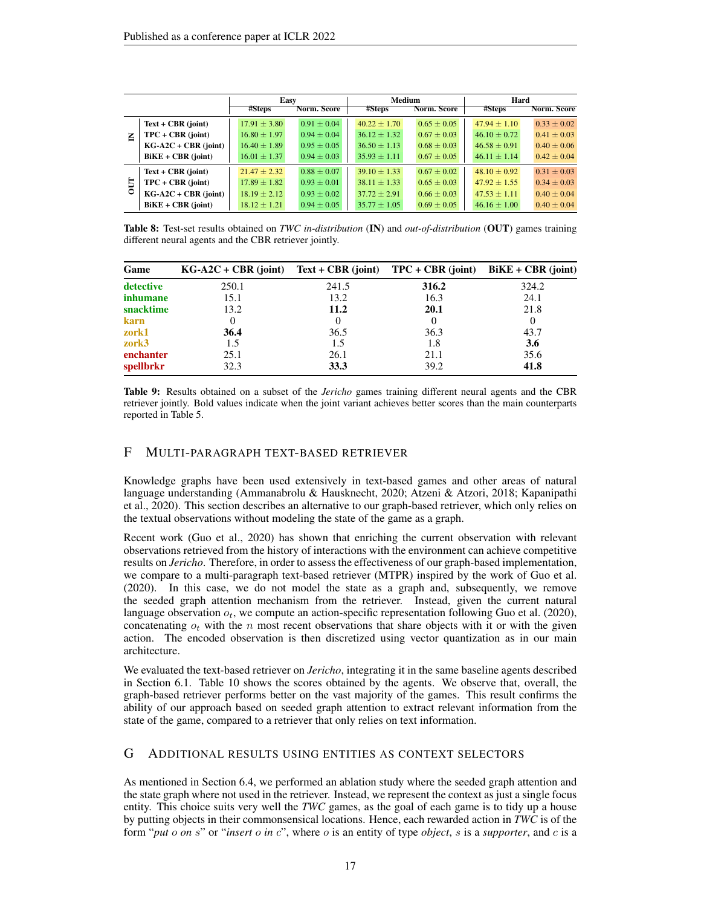<span id="page-16-2"></span>

|   |                        | Easy             |                 | Medium           |                 | Hard             |                 |
|---|------------------------|------------------|-----------------|------------------|-----------------|------------------|-----------------|
|   |                        | #Steps           | Norm. Score     | #Steps           | Norm. Score     | #Steps           | Norm. Score     |
|   | $Text + CBR$ (joint)   | $17.91 \pm 3.80$ | $0.91 + 0.04$   | $40.22 + 1.70$   | $0.65 + 0.05$   | $47.94 + 1.10$   | $0.33 + 0.02$   |
| Ξ | $TPC + CBR$ (joint)    | $16.80 \pm 1.97$ | $0.94 \pm 0.04$ | $36.12 \pm 1.32$ | $0.67 \pm 0.03$ | $46.10 + 0.72$   | $0.41 + 0.03$   |
|   | $KG-A2C + CBR$ (joint) | $16.40 \pm 1.89$ | $0.95 \pm 0.05$ | $36.50 + 1.13$   | $0.68 + 0.03$   | $46.58 + 0.91$   | $0.40 \pm 0.06$ |
|   | $BiKE + CBR$ (joint)   | $16.01 \pm 1.37$ | $0.94 \pm 0.03$ | $35.93 \pm 1.11$ | $0.67 \pm 0.05$ | $46.11 + 1.14$   | $0.42 \pm 0.04$ |
|   | $Text + CBR$ (joint)   | $21.47 \pm 2.32$ | $0.88 \pm 0.07$ | $39.10 \pm 1.33$ | $0.67 + 0.02$   | $48.10 + 0.92$   | $0.31 \pm 0.03$ |
| 5 | $TPC + CBR$ (joint)    | $17.89 \pm 1.82$ | $0.93 \pm 0.01$ | $38.11 + 1.33$   | $0.65 + 0.03$   | $47.92 + 1.55$   | $0.34 + 0.03$   |
| ٥ | $KG-A2C + CBR$ (joint) | $18.19 \pm 2.12$ | $0.93 \pm 0.02$ | $37.72 \pm 2.91$ | $0.66 + 0.03$   | $47.53 + 1.11$   | $0.40 + 0.04$   |
|   | $BiKE + CBR$ (joint)   | $18.12 \pm 1.21$ | $0.94 \pm 0.05$ | $35.77 \pm 1.05$ | $0.69 \pm 0.05$ | $46.16 \pm 1.00$ | $0.40 + 0.04$   |

Table 8: Test-set results obtained on *TWC in-distribution* (IN) and *out-of-distribution* (OUT) games training different neural agents and the CBR retriever jointly.

<span id="page-16-3"></span>

| Game            | $KG-A2C + CBR$ (joint) Text + CBR (joint) TPC + CBR (joint) |       |       | $BiKE + CBR$ (joint) |
|-----------------|-------------------------------------------------------------|-------|-------|----------------------|
| detective       | 250.1                                                       | 241.5 | 316.2 | 324.2                |
| <i>inhumane</i> | 15.1                                                        | 13.2  | 16.3  | 24.1                 |
| snacktime       | 13.2                                                        | 11.2  | 20.1  | 21.8                 |
| karn            | 0                                                           |       |       |                      |
| zork1           | 36.4                                                        | 36.5  | 36.3  | 43.7                 |
| zork3           | 1.5                                                         | 1.5   | 1.8   | 3.6                  |
| enchanter       | 25.1                                                        | 26.1  | 21.1  | 35.6                 |
| spellbrkr       | 32.3                                                        | 33.3  | 39.2  | 41.8                 |

Table 9: Results obtained on a subset of the *Jericho* games training different neural agents and the CBR retriever jointly. Bold values indicate when the joint variant achieves better scores than the main counterparts reported in Table [5.](#page-13-2)

# <span id="page-16-1"></span>F MULTI-PARAGRAPH TEXT-BASED RETRIEVER

Knowledge graphs have been used extensively in text-based games and other areas of natural language understanding [\(Ammanabrolu & Hausknecht, 2020;](#page-9-1) [Atzeni & Atzori, 2018;](#page-9-10) [Kapanipathi](#page-10-10) [et al., 2020\)](#page-10-10). This section describes an alternative to our graph-based retriever, which only relies on the textual observations without modeling the state of the game as a graph.

Recent work [\(Guo et al., 2020\)](#page-10-5) has shown that enriching the current observation with relevant observations retrieved from the history of interactions with the environment can achieve competitive results on *Jericho*. Therefore, in order to assess the effectiveness of our graph-based implementation, we compare to a multi-paragraph text-based retriever (MTPR) inspired by the work of [Guo et al.](#page-10-5) [\(2020\)](#page-10-5). In this case, we do not model the state as a graph and, subsequently, we remove the seeded graph attention mechanism from the retriever. Instead, given the current natural language observation  $o_t$ , we compute an action-specific representation following [Guo et al.](#page-10-5) [\(2020\)](#page-10-5), concatenating  $o_t$  with the n most recent observations that share objects with it or with the given action. The encoded observation is then discretized using vector quantization as in our main architecture.

We evaluated the text-based retriever on *Jericho*, integrating it in the same baseline agents described in Section [6.1.](#page-4-1) Table [10](#page-17-0) shows the scores obtained by the agents. We observe that, overall, the graph-based retriever performs better on the vast majority of the games. This result confirms the ability of our approach based on seeded graph attention to extract relevant information from the state of the game, compared to a retriever that only relies on text information.

## <span id="page-16-0"></span>G ADDITIONAL RESULTS USING ENTITIES AS CONTEXT SELECTORS

As mentioned in Section [6.4,](#page-6-2) we performed an ablation study where the seeded graph attention and the state graph where not used in the retriever. Instead, we represent the context as just a single focus entity. This choice suits very well the *TWC* games, as the goal of each game is to tidy up a house by putting objects in their commonsensical locations. Hence, each rewarded action in *TWC* is of the form "*put* o *on* s" or "*insert* o *in* c", where o is an entity of type *object*, s is a *supporter*, and c is a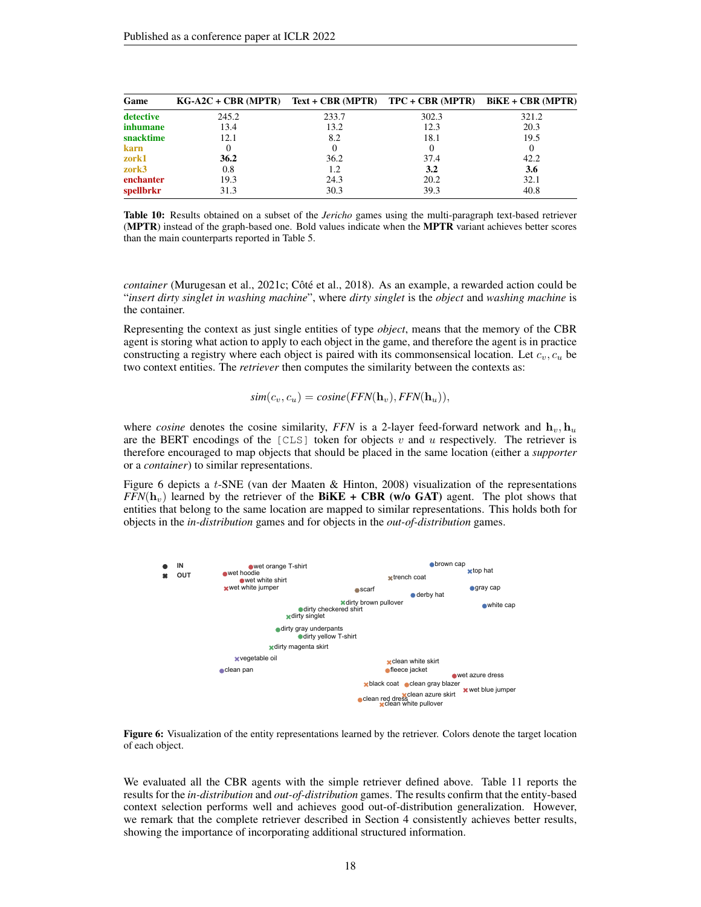<span id="page-17-0"></span>

| Game      | $KG-A2C + CBR (MPTR)$ Text + CBR (MPTR) TPC + CBR (MPTR) BiKE + CBR (MPTR) |       |       |       |
|-----------|----------------------------------------------------------------------------|-------|-------|-------|
| detective | 245.2                                                                      | 233.7 | 302.3 | 321.2 |
| inhumane  | 13.4                                                                       | 13.2  | 12.3  | 20.3  |
| snacktime | 12.1                                                                       | 8.2   | 18.1  | 19.5  |
| karn      |                                                                            |       |       |       |
| zork1     | 36.2                                                                       | 36.2  | 37.4  | 42.2  |
| zork3     | 0.8                                                                        | 1.2   | 3.2   | 3.6   |
| enchanter | 19.3                                                                       | 24.3  | 20.2  | 32.1  |
| spellbrkr | 31.3                                                                       | 30.3  | 39.3  | 40.8  |

Table 10: Results obtained on a subset of the *Jericho* games using the multi-paragraph text-based retriever (MPTR) instead of the graph-based one. Bold values indicate when the MPTR variant achieves better scores than the main counterparts reported in Table [5.](#page-13-2)

*container* [\(Murugesan et al., 2021c;](#page-11-5) [Côté et al., 2018\)](#page-10-4). As an example, a rewarded action could be "*insert dirty singlet in washing machine*", where *dirty singlet* is the *object* and *washing machine* is the container.

Representing the context as just single entities of type *object*, means that the memory of the CBR agent is storing what action to apply to each object in the game, and therefore the agent is in practice constructing a registry where each object is paired with its commonsensical location. Let  $c_v, c_u$  be two context entities. The *retriever* then computes the similarity between the contexts as:

 $sim(c_v, c_u) = cosine(FFN(\mathbf{h}_v), FFN(\mathbf{h}_u)),$ 

where *cosine* denotes the cosine similarity, *FFN* is a 2-layer feed-forward network and  $\mathbf{h}_v$ ,  $\mathbf{h}_u$ are the BERT encodings of the  $[CLS]$  token for objects v and u respectively. The retriever is therefore encouraged to map objects that should be placed in the same location (either a *supporter* or a *container*) to similar representations.

Figure [6](#page-17-1) depicts a t-SNE [\(van der Maaten & Hinton, 2008\)](#page-11-12) visualization of the representations  $FFN(h_v)$  learned by the retriever of the **BiKE + CBR** (w/o GAT) agent. The plot shows that entities that belong to the same location are mapped to similar representations. This holds both for objects in the *in-distribution* games and for objects in the *out-of-distribution* games.

<span id="page-17-1"></span>

Figure 6: Visualization of the entity representations learned by the retriever. Colors denote the target location of each object.

We evaluated all the CBR agents with the simple retriever defined above. Table [11](#page-18-0) reports the results for the *in-distribution* and *out-of-distribution* games. The results confirm that the entity-based context selection performs well and achieves good out-of-distribution generalization. However, we remark that the complete retriever described in Section [4](#page-2-1) consistently achieves better results, showing the importance of incorporating additional structured information.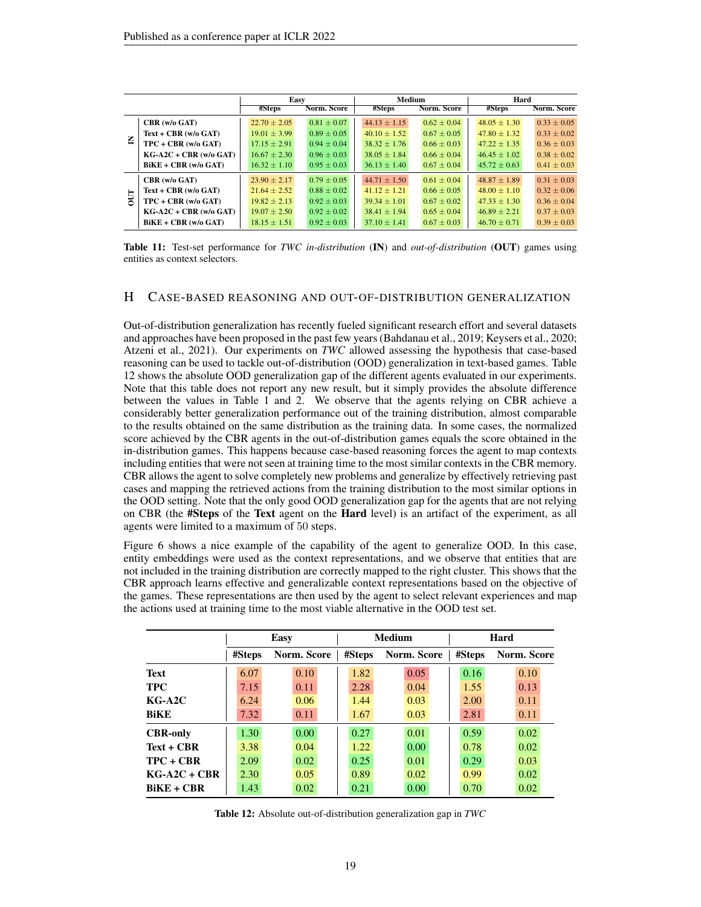<span id="page-18-0"></span>

|            |                             | Easy             |                 | Medium           |                 | Hard             |                 |
|------------|-----------------------------|------------------|-----------------|------------------|-----------------|------------------|-----------------|
|            |                             | #Steps           | Norm. Score     | #Steps           | Norm. Score     | #Steps           | Norm. Score     |
|            | $CBR$ (w/o $GAT$ )          | $22.70 \pm 2.05$ | $0.81 + 0.07$   | $44.13 \pm 1.15$ | $0.62 + 0.04$   | $48.05 + 1.30$   | $0.33 \pm 0.05$ |
|            | $Text + CBR$ (w/o $GAT$ )   | $19.01 \pm 3.99$ | $0.89 + 0.05$   | $40.10 + 1.52$   | $0.67 + 0.05$   | $47.80 + 1.32$   | $0.33 + 0.02$   |
| 叾          | $TPC + CBR$ (w/o GAT)       | $17.15 + 2.91$   | $0.94 + 0.04$   | $38.32 + 1.76$   | $0.66 \pm 0.03$ | $47.22 \pm 1.35$ | $0.36 + 0.03$   |
|            | $KG-A2C + CBR$ (w/o $GAT$ ) | $16.67 \pm 2.30$ | $0.96 \pm 0.03$ | $38.05 + 1.84$   | $0.66 + 0.04$   | $46.45 \pm 1.02$ | $0.38 + 0.02$   |
|            | $BiKE + CBR$ (w/o GAT)      | $16.32 \pm 1.10$ | $0.95 \pm 0.03$ | $36.13 \pm 1.40$ | $0.67 \pm 0.04$ | $45.72 \pm 0.63$ | $0.41 \pm 0.03$ |
|            | CBR (w/o GAT)               | $23.90 \pm 2.17$ | $0.79 + 0.05$   | $44.71 + 1.50$   | $0.61 + 0.04$   | $48.87 + 1.89$   | $0.31 + 0.03$   |
|            | $Text + CBR$ (w/o $GAT$ )   | $21.64 + 2.52$   | $0.88 + 0.02$   | $41.12 + 1.21$   | $0.66 \pm 0.05$ | $48.00 + 1.10$   | $0.32 + 0.06$   |
| <b>DUT</b> | $TPC + CBR$ (w/o GAT)       | $19.82 + 2.13$   | $0.92 \pm 0.03$ | $39.34 + 1.01$   | $0.67 + 0.02$   | $47.33 + 1.30$   | $0.36 + 0.04$   |
|            | $KG-A2C + CBR$ (w/o $GAT$ ) | $19.07 + 2.50$   | $0.92 + 0.02$   | $38.41 + 1.94$   | $0.65 + 0.04$   | $46.89 + 2.21$   | $0.37 + 0.03$   |
|            | $BiKE + CBR$ (w/o GAT)      | $18.15 \pm 1.51$ | $0.92 \pm 0.03$ | $37.10 \pm 1.41$ | $0.67 \pm 0.03$ | $46.70 \pm 0.71$ | $0.39 \pm 0.03$ |

Table 11: Test-set performance for *TWC in-distribution* (IN) and *out-of-distribution* (OUT) games using entities as context selectors.

## H CASE-BASED REASONING AND OUT-OF-DISTRIBUTION GENERALIZATION

Out-of-distribution generalization has recently fueled significant research effort and several datasets and approaches have been proposed in the past few years [\(Bahdanau et al., 2019;](#page-9-11) [Keysers et al., 2020;](#page-10-11) [Atzeni et al., 2021\)](#page-9-12). Our experiments on *TWC* allowed assessing the hypothesis that case-based reasoning can be used to tackle out-of-distribution (OOD) generalization in text-based games. Table [12](#page-18-1) shows the absolute OOD generalization gap of the different agents evaluated in our experiments. Note that this table does not report any new result, but it simply provides the absolute difference between the values in Table [1](#page-5-0) and [2.](#page-5-1) We observe that the agents relying on CBR achieve a considerably better generalization performance out of the training distribution, almost comparable to the results obtained on the same distribution as the training data. In some cases, the normalized score achieved by the CBR agents in the out-of-distribution games equals the score obtained in the in-distribution games. This happens because case-based reasoning forces the agent to map contexts including entities that were not seen at training time to the most similar contexts in the CBR memory. CBR allows the agent to solve completely new problems and generalize by effectively retrieving past cases and mapping the retrieved actions from the training distribution to the most similar options in the OOD setting. Note that the only good OOD generalization gap for the agents that are not relying on CBR (the #Steps of the Text agent on the Hard level) is an artifact of the experiment, as all agents were limited to a maximum of 50 steps.

Figure [6](#page-17-1) shows a nice example of the capability of the agent to generalize OOD. In this case, entity embeddings were used as the context representations, and we observe that entities that are not included in the training distribution are correctly mapped to the right cluster. This shows that the CBR approach learns effective and generalizable context representations based on the objective of the games. These representations are then used by the agent to select relevant experiences and map the actions used at training time to the most viable alternative in the OOD test set.

<span id="page-18-1"></span>

|                 |        | Easy        |        | <b>Medium</b> | Hard   |             |  |
|-----------------|--------|-------------|--------|---------------|--------|-------------|--|
|                 | #Steps | Norm. Score | #Steps | Norm. Score   | #Steps | Norm. Score |  |
| <b>Text</b>     | 6.07   | 0.10        | 1.82   | 0.05          | 0.16   | 0.10        |  |
| <b>TPC</b>      | 7.15   | 0.11        | 2.28   | 0.04          | 1.55   | 0.13        |  |
| $KG-A2C$        | 6.24   | 0.06        | 1.44   | 0.03          | 2.00   | 0.11        |  |
| <b>BiKE</b>     | 7.32   | 0.11        | 1.67   | 0.03          | 2.81   | 0.11        |  |
| <b>CBR-only</b> | 1.30   | 0.00        | 0.27   | 0.01          | 0.59   | 0.02        |  |
| $Text + CBR$    | 3.38   | 0.04        | 1.22   | 0.00          | 0.78   | 0.02        |  |
| $TPC + CBR$     | 2.09   | 0.02        | 0.25   | 0.01          | 0.29   | 0.03        |  |
| $KG-A2C + CBR$  | 2.30   | 0.05        | 0.89   | 0.02          | 0.99   | 0.02        |  |
| $BiKE + CBR$    | 1.43   | 0.02        | 0.21   | 0.00          | 0.70   | 0.02        |  |

Table 12: Absolute out-of-distribution generalization gap in *TWC*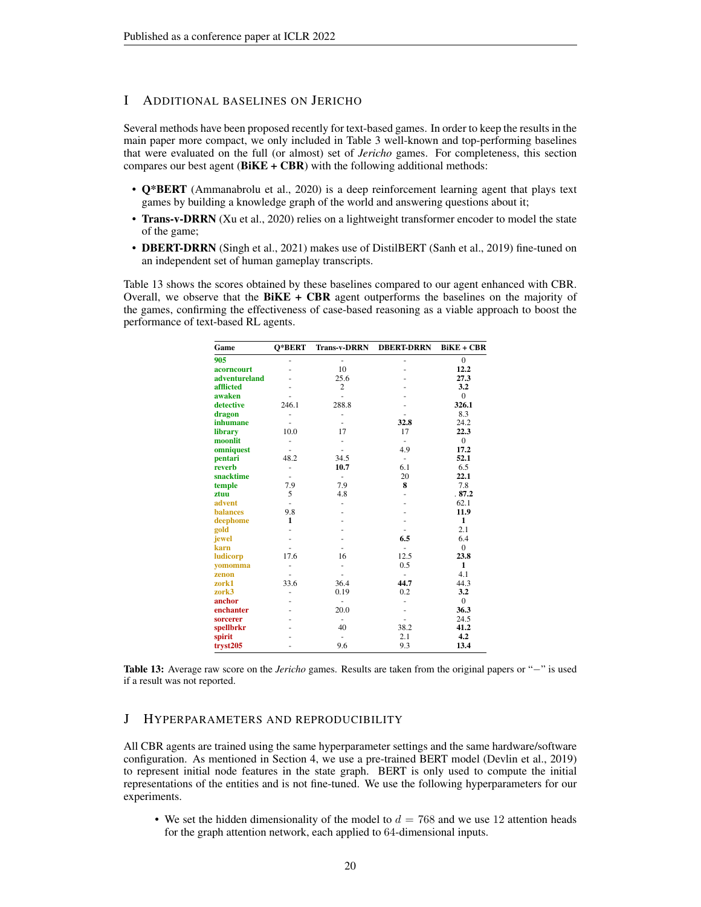# I ADDITIONAL BASELINES ON JERICHO

Several methods have been proposed recently for text-based games. In order to keep the results in the main paper more compact, we only included in Table [3](#page-7-0) well-known and top-performing baselines that were evaluated on the full (or almost) set of *Jericho* games. For completeness, this section compares our best agent  $(BiKE + CBR)$  with the following additional methods:

- Q\*BERT [\(Ammanabrolu et al., 2020\)](#page-9-13) is a deep reinforcement learning agent that plays text games by building a knowledge graph of the world and answering questions about it;
- Trans-v-DRRN [\(Xu et al., 2020\)](#page-12-2) relies on a lightweight transformer encoder to model the state of the game;
- DBERT-DRRN [\(Singh et al., 2021\)](#page-11-13) makes use of DistilBERT [\(Sanh et al., 2019\)](#page-11-14) fine-tuned on an independent set of human gameplay transcripts.

<span id="page-19-1"></span>Table [13](#page-19-1) shows the scores obtained by these baselines compared to our agent enhanced with CBR. Overall, we observe that the  $BiKE + CBR$  agent outperforms the baselines on the majority of the games, confirming the effectiveness of case-based reasoning as a viable approach to boost the performance of text-based RL agents.

| Game            | O*BERT | <b>Trans-v-DRRN</b>      | <b>DBERT-DRRN</b>        | $BiKE + CBR$   |
|-----------------|--------|--------------------------|--------------------------|----------------|
| 905             |        |                          |                          | $\mathbf{0}$   |
| acorncourt      |        | 10                       |                          | 12.2           |
| adventureland   |        | 25.6                     |                          | 27.3           |
| afflicted       |        | $\overline{c}$           |                          | 3.2            |
| awaken          |        |                          |                          | $\overline{0}$ |
| detective       | 246.1  | 288.8                    |                          | 326.1          |
| dragon          |        | -                        |                          | 8.3            |
| inhumane        |        | ٠                        | 32.8                     | 24.2           |
| library         | 10.0   | 17                       | 17                       | 22.3           |
| moonlit         | ٠      |                          | $\overline{\phantom{0}}$ | $\mathbf{0}$   |
| omniquest       |        |                          | 4.9                      | 17.2           |
| pentari         | 48.2   | 34.5                     | $\bar{\phantom{a}}$      | 52.1           |
| reverb          | ٠      | 10.7                     | 6.1                      | 6.5            |
| snacktime       | ٠      | $\overline{\phantom{a}}$ | 20                       | 22.1           |
| temple          | 7.9    | 7.9                      | 8                        | 7.8            |
| ztuu            | 5      | 4.8                      |                          | .87.2          |
| advent          | ٠      |                          |                          | 62.1           |
| <b>balances</b> | 9.8    |                          |                          | 11.9           |
| deephome        | 1      |                          |                          | $\mathbf{1}$   |
| gold            |        |                          |                          | 2.1            |
| jewel           |        |                          | 6.5                      | 6.4            |
| karn            |        |                          |                          | $\overline{0}$ |
| ludicorp        | 17.6   | 16                       | 12.5                     | 23.8           |
| vomomma         |        |                          | 0.5                      | 1              |
| zenon           |        |                          | ٠                        | 4.1            |
| zork1           | 33.6   | 36.4                     | 44.7                     | 44.3           |
| zork3           | ٠      | 0.19                     | 0.2                      | 3.2            |
| anchor          |        | $\overline{\phantom{a}}$ |                          | $\overline{0}$ |
| enchanter       |        | 20.0                     |                          | 36.3           |
| sorcerer        |        | $\overline{\phantom{a}}$ |                          | 24.5           |
| spellbrkr       |        | 40                       | 38.2                     | 41.2           |
| spirit          |        |                          | 2.1                      | 4.2            |
| tryst205        |        | 9.6                      | 9.3                      | 13.4           |

Table 13: Average raw score on the *Jericho* games. Results are taken from the original papers or "−" is used if a result was not reported.

## <span id="page-19-0"></span>J HYPERPARAMETERS AND REPRODUCIBILITY

All CBR agents are trained using the same hyperparameter settings and the same hardware/software configuration. As mentioned in Section [4,](#page-2-1) we use a pre-trained BERT model [\(Devlin et al., 2019\)](#page-10-1) to represent initial node features in the state graph. BERT is only used to compute the initial representations of the entities and is not fine-tuned. We use the following hyperparameters for our experiments.

• We set the hidden dimensionality of the model to  $d = 768$  and we use 12 attention heads for the graph attention network, each applied to 64-dimensional inputs.